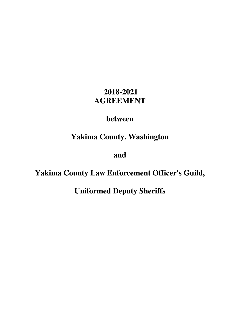# **2018-2021 AGREEMENT**

# **between**

# **Yakima County, Washington**

**and** 

# **Yakima County Law Enforcement Officer's Guild,**

**Uniformed Deputy Sheriffs**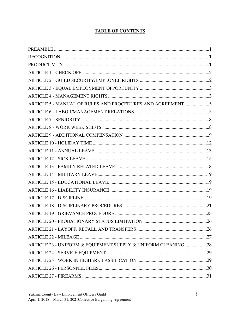# **TABLE OF CONTENTS**

| ARTICLE 5 - MANUAL OF RULES AND PROCEDURES AND AGREEMENT 5   |    |
|--------------------------------------------------------------|----|
|                                                              |    |
|                                                              |    |
|                                                              |    |
|                                                              |    |
|                                                              |    |
|                                                              |    |
|                                                              |    |
|                                                              |    |
|                                                              |    |
|                                                              |    |
|                                                              |    |
|                                                              |    |
|                                                              |    |
|                                                              |    |
|                                                              | 26 |
|                                                              |    |
|                                                              |    |
| ARTICLE 23 - UNIFORM & EQUIPMENT SUPPLY & UNIFORM CLEANING28 |    |
|                                                              |    |
|                                                              |    |
|                                                              |    |
|                                                              |    |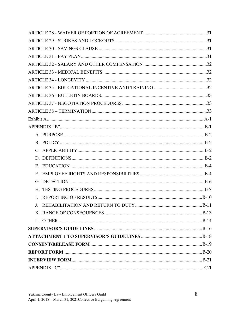| $\mathbf{L}$ |  |
|--------------|--|
|              |  |
|              |  |
|              |  |
|              |  |
|              |  |
|              |  |
|              |  |
|              |  |
|              |  |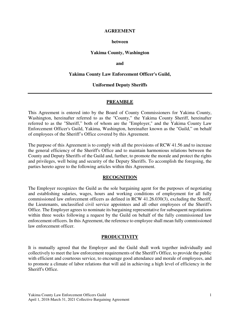#### **AGREEMENT**

#### **between**

#### **Yakima County, Washington**

#### **and**

#### **Yakima County Law Enforcement Officer's Guild,**

#### **Uniformed Deputy Sheriffs**

#### **PREAMBLE**

This Agreement is entered into by the Board of County Commissioners for Yakima County, Washington, hereinafter referred to as the "County," the Yakima County Sheriff, hereinafter referred to as the "Sheriff," both of whom are the "Employer," and the Yakima County Law Enforcement Officer's Guild, Yakima, Washington, hereinafter known as the "Guild," on behalf of employees of the Sheriff's Office covered by this Agreement.

The purpose of this Agreement is to comply with all the provisions of RCW 41.56 and to increase the general efficiency of the Sheriff's Office and to maintain harmonious relations between the County and Deputy Sheriffs of the Guild and, further, to promote the morale and protect the rights and privileges, well being and security of the Deputy Sheriffs. To accomplish the foregoing, the parties hereto agree to the following articles within this Agreement.

#### **RECOGNITION**

The Employer recognizes the Guild as the sole bargaining agent for the purposes of negotiating and establishing salaries, wages, hours and working conditions of employment for all fully commissioned law enforcement officers as defined in RCW 41.26.030(3), excluding the Sheriff, the Lieutenants, unclassified civil service appointees and all other employees of the Sheriff's Office. The Employer agrees to nominate its bargaining representative for subsequent negotiations within three weeks following a request by the Guild on behalf of the fully commissioned law enforcement officers. In this Agreement, the reference to employee shall mean fully commissioned law enforcement officer.

## **PRODUCTIVITY**

It is mutually agreed that the Employer and the Guild shall work together individually and collectively to meet the law enforcement requirements of the Sheriff's Office, to provide the public with efficient and courteous service, to encourage good attendance and morale of employees, and to promote a climate of labor relations that will aid in achieving a high level of efficiency in the Sheriff's Office.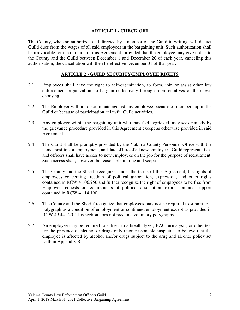## **ARTICLE 1 - CHECK OFF**

The County, when so authorized and directed by a member of the Guild in writing, will deduct Guild dues from the wages of all said employees in the bargaining unit. Such authorization shall be irrevocable for the duration of this Agreement, provided that the employee may give notice to the County and the Guild between December 1 and December 20 of each year, canceling this authorization; the cancellation will then be effective December 31 of that year.

## **ARTICLE 2 - GUILD SECURITY/EMPLOYEE RIGHTS**

- 2.1 Employees shall have the right to self-organization, to form, join or assist other law enforcement organization, to bargain collectively through representatives of their own choosing.
- 2.2 The Employer will not discriminate against any employee because of membership in the Guild or because of participation at lawful Guild activities.
- 2.3 Any employee within the bargaining unit who may feel aggrieved, may seek remedy by the grievance procedure provided in this Agreement except as otherwise provided in said Agreement.
- 2.4 The Guild shall be promptly provided by the Yakima County Personnel Office with the name, position or employment, and date of hire of all new employees. Guild representatives and officers shall have access to new employees on the job for the purpose of recruitment. Such access shall, however, be reasonable in time and scope.
- 2.5 The County and the Sheriff recognize, under the terms of this Agreement, the rights of employees concerning freedom of political association, expression, and other rights contained in RCW 41.06.250 and further recognize the right of employees to be free from Employer requests or requirements of political association, expression and support contained in RCW 41.14.190.
- 2.6 The County and the Sheriff recognize that employees may not be required to submit to a polygraph as a condition of employment or continued employment except as provided in RCW 49.44.120. This section does not preclude voluntary polygraphs.
- 2.7 An employee may be required to subject to a breathalyzer, BAC, urinalysis, or other test for the presence of alcohol or drugs only upon reasonable suspicion to believe that the employee is affected by alcohol and/or drugs subject to the drug and alcohol policy set forth in Appendix B.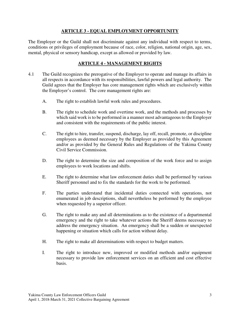# **ARTICLE 3 - EQUAL EMPLOYMENT OPPORTUNITY**

The Employer or the Guild shall not discriminate against any individual with respect to terms, conditions or privileges of employment because of race, color, religion, national origin, age, sex, mental, physical or sensory handicap, except as allowed or provided by law.

# **ARTICLE 4 - MANAGEMENT RIGHTS**

- 4.1 The Guild recognizes the prerogative of the Employer to operate and manage its affairs in all respects in accordance with its responsibilities, lawful powers and legal authority. The Guild agrees that the Employer has core management rights which are exclusively within the Employer's control. The core management rights are:
	- A. The right to establish lawful work rules and procedures.
	- B. The right to schedule work and overtime work, and the methods and processes by which said work is to be performed in a manner most advantageous to the Employer and consistent with the requirements of the public interest.
	- C. The right to hire, transfer, suspend, discharge, lay off, recall, promote, or discipline employees as deemed necessary by the Employer as provided by this Agreement and/or as provided by the General Rules and Regulations of the Yakima County Civil Service Commission.
	- D. The right to determine the size and composition of the work force and to assign employees to work locations and shifts.
	- E. The right to determine what law enforcement duties shall be performed by various Sheriff personnel and to fix the standards for the work to be performed.
	- F. The parties understand that incidental duties connected with operations, not enumerated in job descriptions, shall nevertheless be performed by the employee when requested by a superior officer.
	- G. The right to make any and all determinations as to the existence of a departmental emergency and the right to take whatever actions the Sheriff deems necessary to address the emergency situation. An emergency shall be a sudden or unexpected happening or situation which calls for action without delay.
	- H. The right to make all determinations with respect to budget matters.
	- I. The right to introduce new, improved or modified methods and/or equipment necessary to provide law enforcement services on an efficient and cost effective basis.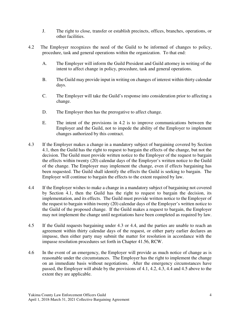- J. The right to close, transfer or establish precincts, offices, branches, operations, or other facilities.
- 4.2 The Employer recognizes the need of the Guild to be informed of changes to policy, procedure, task and general operations within the organization. To that end:
	- A. The Employer will inform the Guild President and Guild attorney in writing of the intent to affect change in policy, procedure, task and general operations.
	- B. The Guild may provide input in writing on changes of interest within thirty calendar days.
	- C. The Employer will take the Guild's response into consideration prior to affecting a change.
	- D. The Employer then has the prerogative to affect change.
	- E. The intent of the provisions in 4.2 is to improve communications between the Employer and the Guild, not to impede the ability of the Employer to implement changes authorized by this contract.
- 4.3 If the Employer makes a change in a mandatory subject of bargaining covered by Section 4.1, then the Guild has the right to request to bargain the effects of the change, but not the decision. The Guild must provide written notice to the Employer of the request to bargain the effects within twenty (20) calendar days of the Employer's written notice to the Guild of the change. The Employer may implement the change, even if effects bargaining has been requested. The Guild shall identify the effects the Guild is seeking to bargain. The Employer will continue to bargain the effects to the extent required by law.
- 4.4 If the Employer wishes to make a change in a mandatory subject of bargaining not covered by Section 4.1, then the Guild has the right to request to bargain the decision, its implementation, and its effects. The Guild must provide written notice to the Employer of the request to bargain within twenty (20) calendar days of the Employer's written notice to the Guild of the proposed change. If the Guild makes a request to bargain, the Employer may not implement the change until negotiations have been completed as required by law.
- 4.5 If the Guild requests bargaining under 4.3 or 4.4, and the parties are unable to reach an agreement within thirty calendar days of the request, or either party earlier declares an impasse, then either party may submit the matter for resolution in accordance with the impasse resolution procedures set forth in Chapter 41.56, RCW.
- 4.6 In the event of an emergency, the Employer will provide as much notice of change as is reasonable under the circumstances. The Employer has the right to implement the change on an immediate basis without negotiations. After the emergency circumstances have passed, the Employer will abide by the provisions of 4.1, 4.2, 4.3, 4.4 and 4.5 above to the extent they are applicable.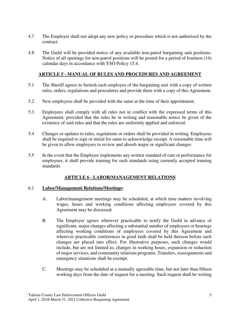- 4.7 The Employer shall not adopt any new policy or procedure which is not authorized by the contract.
- 4.8 The Guild will be provided notice of any available non-patrol bargaining unit positions. Notice of all openings for non-patrol positions will be posted for a period of fourteen (14) calendar days in accordance with YSO Policy 15.4.

# **ARTICLE 5 - MANUAL OF RULES AND PROCEDURES AND AGREEMENT**

- 5.1 The Sheriff agrees to furnish each employee of the bargaining unit with a copy of written rules, orders, regulations and procedures and provide them with a copy of this Agreement.
- 5.2 New employees shall be provided with the same at the time of their appointment.
- 5.3 Employees shall comply with all rules not in conflict with the expressed terms of this Agreement; provided that the rules be in writing and reasonable notice be given of the existence of said rules and that the rules are uniformly applied and enforced.
- 5.4 Changes or updates to rules, regulations or orders shall be provided in writing. Employees shall be required to sign or initial for same to acknowledge receipt. A reasonable time will be given to allow employees to review and absorb major or significant changes.
- 5.5 In the event that the Employer implements any written standard of care or performance for employees, it shall provide training for such standards using currently accepted training standards.

## **ARTICLE 6 - LABOR/MANAGEMENT RELATIONS**

## 6.1 **Labor/Management Relations/Meetings:**

- A. Labor/management meetings may be scheduled, at which time matters involving wages, hours and working conditions affecting employees covered by this Agreement may be discussed.
- B. The Employer agrees wherever practicable to notify the Guild in advance of significant, major changes affecting a substantial number of employees or hearings affecting working conditions of employees covered by this Agreement and wherever practicable conferences in good faith shall be held thereon before such changes are placed into effect. For illustrative purposes, such changes would include, but are not limited to, changes in working hours, expansion or reduction of major services, and community relations programs. Transfers, reassignments and emergency situations shall be exempt.
- C. Meetings may be scheduled at a mutually agreeable time, but not later than fifteen working days from the date of request for a meeting. Such request shall be writing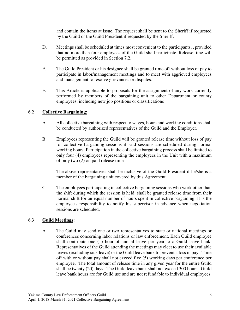and contain the items at issue. The request shall be sent to the Sheriff if requested by the Guild or the Guild President if requested by the Sheriff.

- D. Meetings shall be scheduled at times most convenient to the participants, , provided that no more than four employees of the Guild shall participate. Release time will be permitted as provided in Section 7.2.
- E. The Guild President or his designee shall be granted time off without loss of pay to participate in labor/management meetings and to meet with aggrieved employees and management to resolve grievances or disputes.
- F. This Article is applicable to proposals for the assignment of any work currently performed by members of the bargaining unit to other Department or county employees, including new job positions or classifications

## 6.2 **Collective Bargaining:**

- A. All collective bargaining with respect to wages, hours and working conditions shall be conducted by authorized representatives of the Guild and the Employer.
- B. Employees representing the Guild will be granted release time without loss of pay for collective bargaining sessions if said sessions are scheduled during normal working hours. Participation in the collective bargaining process shall be limited to only four (4) employees representing the employees in the Unit with a maximum of only two (2) on paid release time.

 The above representatives shall be inclusive of the Guild President if he/she is a member of the bargaining unit covered by this Agreement.

C. The employees participating in collective bargaining sessions who work other than the shift during which the session is held, shall be granted release time from their normal shift for an equal number of hours spent in collective bargaining. It is the employee's responsibility to notify his supervisor in advance when negotiation sessions are scheduled.

## 6.3 **Guild Meetings:**

A. The Guild may send one or two representatives to state or national meetings or conferences concerning labor relations or law enforcement. Each Guild employee shall contribute one (1) hour of annual leave per year to a Guild leave bank. Representatives of the Guild attending the meetings may elect to use their available leaves (excluding sick leave) or the Guild leave bank to prevent a loss in pay. Time off with or without pay shall not exceed five (5) working days per conference per employee. The total amount of release time in any given year for the entire Guild shall be twenty (20) days. The Guild leave bank shall not exceed 300 hours. Guild leave bank hours are for Guild use and are not refundable to individual employees.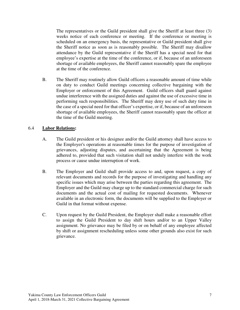The representatives or the Guild president shall give the Sheriff at least three (3) weeks notice of each conference or meeting. If the conference or meeting is scheduled on an emergency basis, the representative or Guild president shall give the Sheriff notice as soon as is reasonably possible. The Sheriff may disallow attendance by the Guild representative if the Sheriff has a special need for that employee's expertise at the time of the conference, or if, because of an unforeseen shortage of available employees, the Sheriff cannot reasonably spare the employee at the time of the conference.

B. The Sheriff may routinely allow Guild officers a reasonable amount of time while on duty to conduct Guild meetings concerning collective bargaining with the Employer or enforcement of this Agreement. Guild officers shall guard against undue interference with the assigned duties and against the use of excessive time in performing such responsibilities. The Sheriff may deny use of such duty time in the case of a special need for that officer's expertise, or if, because of an unforeseen shortage of available employees, the Sheriff cannot reasonably spare the officer at the time of the Guild meeting.

## 6.4 **Labor Relations:**

- A. The Guild president or his designee and/or the Guild attorney shall have access to the Employer's operations at reasonable times for the purpose of investigation of grievances, adjusting disputes, and ascertaining that the Agreement is being adhered to, provided that such visitation shall not unduly interfere with the work process or cause undue interruption of work.
- B. The Employer and Guild shall provide access to and, upon request, a copy of relevant documents and records for the purpose of investigating and handling any specific issues which may arise between the parties regarding this agreement. The Employer and the Guild may charge up to the standard commercial charge for such documents and the actual cost of mailing for requested documents. Whenever available in an electronic form, the documents will be supplied to the Employer or Guild in that format without expense.
- C. Upon request by the Guild President, the Employer shall make a reasonable effort to assign the Guild President to day shift hours and/or to an Upper Valley assignment. No grievance may be filed by or on behalf of any employee affected by shift or assignment rescheduling unless some other grounds also exist for such grievance.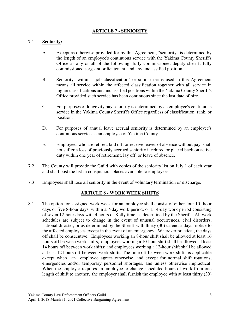## **ARTICLE 7 - SENIORITY**

#### 7.1 **Seniority:**

- A. Except as otherwise provided for by this Agreement, "seniority" is determined by the length of an employee's continuous service with the Yakima County Sheriff's Office as any or all of the following: fully commissioned deputy sheriff, fully commissioned sergeant or lieutenant, and any unclassified position.
- B. Seniority "within a job classification" or similar terms used in this Agreement means all service within the affected classification together with all service in higher classifications and unclassified positions within the Yakima County Sheriff's Office provided such service has been continuous since the last date of hire.
- C. For purposes of longevity pay seniority is determined by an employee's continuous service in the Yakima County Sheriff's Office regardless of classification, rank, or position.
- D. For purposes of annual leave accrual seniority is determined by an employee's continuous service as an employee of Yakima County.
- E. Employees who are retired, laid off, or receive leaves of absence without pay, shall not suffer a loss of previously accrued seniority if rehired or placed back on active duty within one year of retirement, lay off, or leave of absence.
- 7.2 The County will provide the Guild with copies of the seniority list on July 1 of each year and shall post the list in conspicuous places available to employees.
- 7.3 Employees shall lose all seniority in the event of voluntary termination or discharge.

## **ARTICLE 8 - WORK WEEK SHIFTS**

8.1 The option for assigned work week for an employee shall consist of either four 10- hour days or five 8-hour days, within a 7-day work period, or a 14-day work period consisting of seven 12-hour days with 4 hours of Kelly time, as determined by the Sheriff. All work schedules are subject to change in the event of unusual occurrences, civil disorders, national disaster, or as determined by the Sheriff with thirty (30) calendar days' notice to the affected employees except in the event of an emergency. Wherever practical, the days off shall be consecutive. Employees working an 8-hour shift shall be allowed at least 16 hours off between work shifts; employees working a 10-hour shift shall be allowed at least 14 hours off between work shifts; and employees working a 12-hour shift shall be allowed at least 12 hours off between work shifts. The time off between work shifts is applicable except when an employee agrees otherwise, and except for normal shift rotations, emergencies and/or temporary personnel shortages, and unless otherwise impractical. When the employer requires an employee to change scheduled hours of work from one length of shift to another, the employer shall furnish the employee with at least thirty (30)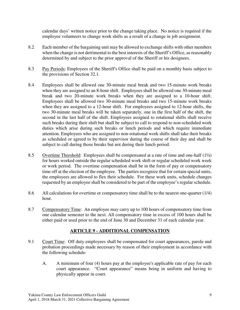calendar days' written notice prior to the change taking place. No notice is required if the employee volunteers to change work shifts as a result of a change in job assignment.

- 8.2 Each member of the bargaining unit may be allowed to exchange shifts with other members when the change is not detrimental to the best interests of the Sheriff's Office, as reasonably determined by and subject to the prior approval of the Sheriff or his designees.
- 8.3 Pay Periods: Employees of the Sheriff's Office shall be paid on a monthly basis subject to the provisions of Section 32.1.
- 8.4 Employees shall be allowed one 30-minute meal break and two 15-minute work breaks when they are assigned to an 8-hour shift. Employees shall be allowed one 30-minute meal break and two 20-minute work breaks when they are assigned to a 10-hour shift. Employees shall be allowed two 30-minute meal breaks and two 15-minute work breaks when they are assigned to a 12-hour shift. For employees assigned to 12-hour shifts, the two 30-minute meal breaks will be taken separately, one in the first half of the shift, the second in the last half of the shift. Employees assigned to rotational shifts shall receive such breaks during their shift but shall be subject to call to respond to non-scheduled work duties which arise during such breaks or lunch periods and which require immediate attention. Employees who are assigned to non-rotational work shifts shall take their breaks as scheduled or agreed to by their supervisor during the course of their day and shall be subject to call during those breaks but not during their lunch period.
- 8.5 Overtime Threshold: Employees shall be compensated at a rate of time and one-half (1½) for hours worked outside the regular scheduled work shift or regular scheduled work week or work period. The overtime compensation shall be in the form of pay or compensatory time off at the election of the employee. The parties recognize that for certain special units, the employees are allowed to flex their schedule. For these work units, schedule changes requested by an employee shall be considered to be part of the employee's regular schedule.
- 8.6 All calculations for overtime or compensatory time shall be to the nearest one-quarter (1/4) hour.
- 8.7 Compensatory Time: An employee may carry up to 100 hours of compensatory time from one calendar semester to the next. All compensatory time in excess of 100 hours shall be either paid or used prior to the end of June 30 and December 31 of each calendar year.

## **ARTICLE 9 - ADDITIONAL COMPENSATION**

- 9.1 Court Time: Off duty employees shall be compensated for court appearances, parole and probation proceedings made necessary by reason of their employment in accordance with the following schedule:
	- A. A minimum of four (4) hours pay at the employee's applicable rate of pay for each court appearance. "Court appearance" means being in uniform and having to physically appear in court.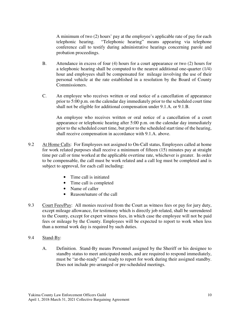A minimum of two (2) hours' pay at the employee's applicable rate of pay for each telephonic hearing. "Telephonic hearing" means appearing via telephone conference call to testify during administrative hearings concerning parole and probation proceedings.

- B. Attendance in excess of four (4) hours for a court appearance or two (2) hours for a telephonic hearing shall be computed to the nearest additional one-quarter (1/4) hour and employees shall be compensated for mileage involving the use of their personal vehicle at the rate established in a resolution by the Board of County Commissioners.
- C. An employee who receives written or oral notice of a cancellation of appearance prior to 5:00 p.m. on the calendar day immediately prior to the scheduled court time shall not be eligible for additional compensation under 9.1.A. or 9.1.B.

An employee who receives written or oral notice of a cancellation of a court appearance or telephonic hearing after 5:00 p.m. on the calendar day immediately prior to the scheduled court time, but prior to the scheduled start time of the hearing, shall receive compensation in accordance with 9.1.A. above.

- 9.2 At Home Calls: For Employees not assigned to On-Call status, Employees called at home for work related purposes shall receive a minimum of fifteen (15) minutes pay at straight time per call or time worked at the applicable overtime rate, whichever is greater. In order to be compensable, the call must be work related and a call log must be completed and is subject to approval, for each call including:
	- Time call is initiated
	- Time call is completed
	- Name of caller
	- Reason/nature of the call
- 9.3 Court Fees/Pay: All monies received from the Court as witness fees or pay for jury duty, except mileage allowance, for testimony which is directly job related, shall be surrendered to the County, except for expert witness fees, in which case the employee will not be paid fees or mileage by the County. Employees will be expected to report to work when less than a normal work day is required by such duties.
- 9.4 Stand-By:
	- A. Definition. Stand-By means Personnel assigned by the Sheriff or his designee to standby status to meet anticipated needs, and are required to respond immediately, must be "at-the-ready" and ready to report for work during their assigned standby. Does not include pre-arranged or pre-scheduled meetings.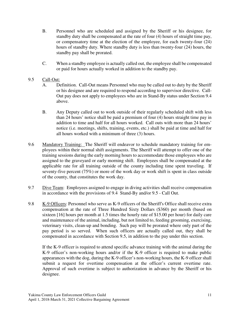- B. Personnel who are scheduled and assigned by the Sheriff or his designee, for standby duty shall be compensated at the rate of four (4) hours of straight time pay, or compensatory time at the election of the employee, for each twenty-four (24) hours of standby duty. Where standby duty is less than twenty-four (24) hours, the standby pay shall be prorated.
- C. When a standby employee is actually called out, the employee shall be compensated or paid for hours actually worked in addition to the standby pay.

# 9.5 Call-Out:

- A. Definition. Call-Out means Personnel who may be called out to duty by the Sheriff or his designee and are required to respond according to supervisor directive.Call-Out pay does not apply to employees who are in Stand-By status under Section 9.4 above.
- B. Any Deputy called out to work outside of their regularly scheduled shift with less than 24 hours' notice shall be paid a premium of four (4) hours straight time pay in addition to time and half for all hours worked. Call outs with more than 24 hours' notice (i.e. meetings, shifts, training, events, etc.) shall be paid at time and half for all hours worked with a minimum of three (3) hours.
- 9.6 Mandatory Training: The Sheriff will endeavor to schedule mandatory training for employees within their normal shift assignments. The Sheriff will attempt to offer one of the training sessions during the early morning hours to accommodate those employees who are assigned to the graveyard or early morning shift. Employees shall be compensated at the applicable rate for all training outside of the county including time spent traveling. If seventy-five percent (75%) or more of the work day or work shift is spent in class outside of the county, that constitutes the work day.
- 9.7 Dive Team: Employees assigned to engage in diving activities shall receive compensation in accordance with the provisions of 9.4 Stand-By and/or 9.5 - Call Out.
- 9.8 K-9 Officers: Personnel who serve as K-9 officers of the Sheriff's Office shall receive extra compensation at the rate of Three Hundred Sixty Dollars (\$360) per month (based on sixteen [16] hours per month at 1.5 times the hourly rate of \$15.00 per hour) for daily care and maintenance of the animal, including, but not limited to, feeding grooming, exercising, veterinary visits, clean-up and bonding. Such pay will be prorated where only part of the pay period is so served. When such officers are actually called out, they shall be compensated in accordance with Section 9.5, in addition to the pay under this section.

If the K-9 officer is required to attend specific advance training with the animal during the K-9 officer's non-working hours and/or if the K-9 officer is required to make public appearances with the dog, during the K-9 officer's non-working hours, the K-9 officer shall submit a request for overtime compensation at the officer's current overtime rate. Approval of such overtime is subject to authorization in advance by the Sheriff or his designee.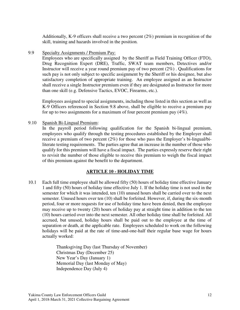Additionally, K-9 officers shall receive a two percent (2%) premium in recognition of the skill, training and hazards involved in the position.

9.9 Specialty Assignments / Premium Pay:

Employees who are specifically assigned by the Sheriff as Field Training Officer (FTO), Drug Recognition Expert (DRE), Traffic, SWAT team members, Detectives and/or Instructor will receive a year round premium pay of two percent  $(2\%)$ . Qualifications for such pay is not only subject to specific assignment by the Sheriff or his designee, but also satisfactory completion of appropriate training. An employee assigned as an Instructor shall receive a single Instructor premium even if they are designated as Instructor for more than one skill (e.g. Defensive Tactics, EVOC, Firearms, etc.).

Employees assigned to special assignments, including those listed in this section as well as K-9 Officers referenced in Section 9.8 above, shall be eligible to receive a premium pay for up to two assignments for a maximum of four percent premium pay (4%).

9.10 Spanish Bi-Lingual Premium:

In the payroll period following qualification for the Spanish bi-lingual premium, employees who qualify through the testing procedures established by the Employer shall receive a premium of two percent (2%) for those who pass the Employer's bi-lingual/biliterate testing requirements. The parties agree that an increase in the number of those who qualify for this premium will have a fiscal impact. The parties expressly reserve their right to revisit the number of those eligible to receive this premium to weigh the fiscal impact of this premium against the benefit to the department.

## **ARTICLE 10 - HOLIDAY TIME**

10.1 Each full time employee shall be allowed fifty (50) hours of holiday time effective January 1 and fifty (50) hours of holiday time effective July 1. If the holiday time is not used in the semester for which it was intended, ten (10) unused hours shall be carried over to the next semester. Unused hours over ten (10) shall be forfeited. However, if, during the six-month period, four or more requests for use of holiday time have been denied, then the employee may receive up to twenty (20) hours of holiday pay at straight time in addition to the ten (10) hours carried over into the next semester. All other holiday time shall be forfeited. All accrued, but unused, holiday hours shall be paid out to the employee at the time of separation or death, at the applicable rate. Employees scheduled to work on the following holidays will be paid at the rate of time-and-one-half their regular base wage for hours actually worked:

> Thanksgiving Day (last Thursday of November) Christmas Day (December 25) New Year's Day (January 1) Memorial Day (last Monday of May) Independence Day (July 4)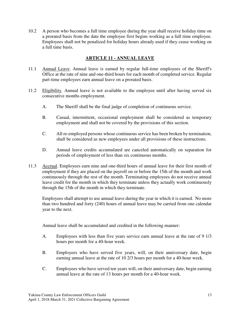10.2 A person who becomes a full time employee during the year shall receive holiday time on a prorated basis from the date the employee first begins working as a full time employee. Employees shall not be penalized for holiday hours already used if they cease working on a full time basis.

# **ARTICLE 11 - ANNUAL LEAVE**

- 11.1 Annual Leave. Annual leave is earned by regular full-time employees of the Sheriff's Office at the rate of nine and one-third hours for each month of completed service. Regular part-time employees earn annual leave on a prorated basis.
- 11.2 Eligibility. Annual leave is not available to the employee until after having served six consecutive months employment.
	- A. The Sheriff shall be the final judge of completion of continuous service.
	- B. Casual, intermittent, occasional employment shall be considered as temporary employment and shall not be covered by the provisions of this section.
	- C. All re-employed persons whose continuous service has been broken by termination, shall be considered as new employees under all provisions of these instructions.
	- D. Annual leave credits accumulated are canceled automatically on separation for periods of employment of less than six continuous months.
- 11.3 Accrual. Employees earn nine and one-third hours of annual leave for their first month of employment if they are placed on the payroll on or before the 15th of the month and work continuously through the rest of the month. Terminating employees do not receive annual leave credit for the month in which they terminate unless they actually work continuously through the 15th of the month in which they terminate.

 Employees shall attempt to use annual leave during the year in which it is earned. No more than two hundred and forty (240) hours of annual leave may be carried from one calendar year to the next.

Annual leave shall be accumulated and credited in the following manner:

- A. Employees with less than five years service earn annual leave at the rate of 9 1/3 hours per month for a 40-hour week.
- B. Employees who have served five years, will, on their anniversary date, begin earning annual leave at the rate of 10 2/3 hours per month for a 40-hour week.
- C. Employees who have served ten years will, on their anniversary date, begin earning annual leave at the rate of 13 hours per month for a 40-hour week.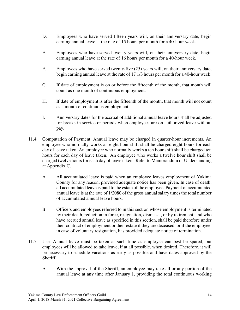- D. Employees who have served fifteen years will, on their anniversary date, begin earning annual leave at the rate of 15 hours per month for a 40-hour week.
- E. Employees who have served twenty years will, on their anniversary date, begin earning annual leave at the rate of 16 hours per month for a 40-hour week.
- F. Employees who have served twenty-five (25) years will, on their anniversary date, begin earning annual leave at the rate of 17 1/3 hours per month for a 40-hour week.
- G. If date of employment is on or before the fifteenth of the month, that month will count as one month of continuous employment.
- H. If date of employment is after the fifteenth of the month, that month will not count as a month of continuous employment.
- I. Anniversary dates for the accrual of additional annual leave hours shall be adjusted for breaks in service or periods when employees are on authorized leave without pay.
- 11.4 Computation of Payment. Annual leave may be charged in quarter-hour increments. An employee who normally works an eight hour shift shall be charged eight hours for each day of leave taken. An employee who normally works a ten hour shift shall be charged ten hours for each day of leave taken. An employee who works a twelve hour shift shall be charged twelve hours for each day of leave taken. Refer to Memorandum of Understanding at Appendix C.
	- A. All accumulated leave is paid when an employee leaves employment of Yakima County for any reason, provided adequate notice has been given. In case of death, all accumulated leave is paid to the estate of the employee. Payment of accumulated annual leave is at the rate of 1/2080 of the gross annual salary times the total number of accumulated annual leave hours.
	- B. Officers and employees referred to in this section whose employment is terminated by their death, reduction in force, resignation, dismissal, or by retirement, and who have accrued annual leave as specified in this section, shall be paid therefore under their contract of employment or their estate if they are deceased, or if the employee, in case of voluntary resignation, has provided adequate notice of termination.
- 11.5 Use. Annual leave must be taken at such time as employee can best be spared, but employees will be allowed to take leave, if at all possible, when desired. Therefore, it will be necessary to schedule vacations as early as possible and have dates approved by the Sheriff.
	- A. With the approval of the Sheriff, an employee may take all or any portion of the annual leave at any time after January 1, providing the total continuous working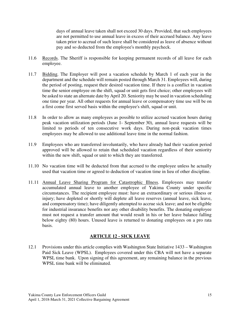days of annual leave taken shall not exceed 30 days. Provided, that such employees are not permitted to use annual leave in excess of their accrued balance. Any leave taken prior to accrual of such leave shall be considered as leave of absence without pay and so deducted from the employee's monthly paycheck.

- 11.6 Records. The Sheriff is responsible for keeping permanent records of all leave for each employee.
- 11.7 Bidding. The Employer will post a vacation schedule by March 1 of each year in the department and the schedule will remain posted through March 31. Employees will, during the period of posting, request their desired vacation time. If there is a conflict in vacation time the senior employee on the shift, squad or unit gets first choice; other employees will be asked to state an alternate date by April 20. Seniority may be used in vacation scheduling one time per year. All other requests for annual leave or compensatory time use will be on a first come first served basis within the employee's shift, squad or unit.
- 11.8 In order to allow as many employees as possible to utilize accrued vacation hours during peak vacation utilization periods (June 1- September 30), annual leave requests will be limited to periods of ten consecutive work days. During non-peak vacation times employees may be allowed to use additional leave time in the normal fashion.
- 11.9 Employees who are transferred involuntarily, who have already had their vacation period approved will be allowed to retain that scheduled vacation regardless of their seniority within the new shift, squad or unit to which they are transferred.
- 11.10 No vacation time will be deducted from that accrued to the employee unless he actually used that vacation time or agreed to deduction of vacation time in lieu of other discipline.
- 11.11 Annual Leave Sharing Program for Catastrophic Illness. Employees may transfer accumulated annual leave to another employee of Yakima County under specific circumstances. The recipient employee must: have an extraordinary or serious illness or injury; have depleted or shortly will deplete all leave reserves (annual leave, sick leave, and compensatory time); have diligently attempted to accrue sick leave; and not be eligible for industrial insurance benefits nor any other disability benefits. The donating employee must not request a transfer amount that would result in his or her leave balance falling below eighty (80) hours. Unused leave is returned to donating employees on a pro rata basis.

## **ARTICLE 12 - SICK LEAVE**

12.1 Provisions under this article complies with Washington State Initiative 1433 – Washington Paid Sick Leave (WPSL). Employees covered under this CBA will not have a separate WPSL time bank. Upon signing of this agreement, any remaining balance in the previous WPSL time bank will be eliminated.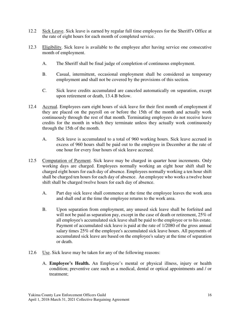- 12.2 Sick Leave. Sick leave is earned by regular full time employees for the Sheriff's Office at the rate of eight hours for each month of completed service.
- 12.3 Eligibility. Sick leave is available to the employee after having service one consecutive month of employment.
	- A. The Sheriff shall be final judge of completion of continuous employment.
	- B. Casual, intermittent, occasional employment shall be considered as temporary employment and shall not be covered by the provisions of this section.
	- C. Sick leave credits accumulated are canceled automatically on separation, except upon retirement or death, 13.4.B below.
- 12.4 Accrual. Employees earn eight hours of sick leave for their first month of employment if they are placed on the payroll on or before the 15th of the month and actually work continuously through the rest of that month. Terminating employees do not receive leave credits for the month in which they terminate unless they actually work continuously through the 15th of the month.
	- A. Sick leave is accumulated to a total of 960 working hours. Sick leave accrued in excess of 960 hours shall be paid out to the employee in December at the rate of one hour for every four hours of sick leave accrued.
- 12.5 Computation of Payment. Sick leave may be charged in quarter hour increments. Only working days are charged. Employees normally working an eight hour shift shall be charged eight hours for each day of absence. Employees normally working a ten hour shift shall be charged ten hours for each day of absence. An employee who works a twelve hour shift shall be charged twelve hours for each day of absence.
	- A. Part day sick leave shall commence at the time the employee leaves the work area and shall end at the time the employee returns to the work area.
	- B. Upon separation from employment, any unused sick leave shall be forfeited and will not be paid as separation pay, except in the case of death or retirement, 25% of all employee's accumulated sick leave shall be paid to the employee or to his estate. Payment of accumulated sick leave is paid at the rate of 1/2080 of the gross annual salary times 25% of the employee's accumulated sick leave hours. All payments of accumulated sick leave are based on the employee's salary at the time of separation or death.
- 12.6 Use. Sick leave may be taken for any of the following reasons:
	- A. **Employee's Health.** An Employee's mental or physical illness, injury or health condition; preventive care such as a medical, dental or optical appointments and / or treatment;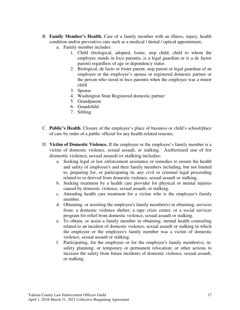- B. **Family Member's Health.** Care of a family member with an illness, injury, health condition and/or preventive care such as a medical / dental / optical appointment;
	- a. Family member includes:
		- 1. Child (biological, adopted, foster, step child, child to whom the employee stands in loco parentis, is a legal guardian or is a de factor parent) regardless of age or dependency status
		- 2. Biological, de facto or foster parent, step parent or legal guardian of an employee or the employee's spouse or registered domestic partner or the person who stood in loco parentis when the employee was a minor child
		- 3. Spouse
		- 4. Washington State Registered domestic partner
		- 5. Grandparent
		- 6. Grandchild
		- 7. Sibling
- C. **Public's Health**. Closure of the employee's place of business or child's school/place of care by order of a public official for any health-related reasons;
- D. **Victim of Domestic Violence.** If the employee or the employee's family member is a victim of domestic violence, sexual assault, or stalking. Authorized use of for domestic violence, sexual assault or stalking includes:
	- a. Seeking legal or law enforcement assistance or remedies to ensure the health and safety of employee's and their family members including, but not limited to, preparing for, or participating in, any civil or criminal legal proceeding related to or derived from domestic violence, sexual assault or stalking.
	- b. Seeking treatment by a health care provider for physical or mental injuries caused by domestic violence, sexual assault, or stalking.
	- c. Attending health care treatment for a victim who is the employee's family member.
	- d. Obtaining, or assisting the employee's family member(s) in obtaining, services from: a domestic violence shelter; a rape crisis center; or a social services program for relief from domestic violence, sexual assault or stalking.
	- e. To obtain, or assist a family member in obtaining, mental health counseling related to an incident of domestic violence, sexual assault or stalking in which the employee or the employee's family member was a victim of domestic violence, sexual assault or stalking.
	- f. Participating, for the employee or for the employee's family member(s), in: safety planning; or temporary or permanent relocation; or other actions to increase the safety from future incidents of domestic violence, sexual assault, or stalking.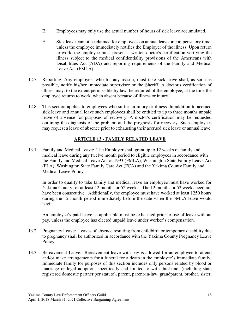- E. Employees may only use the actual number of hours of sick leave accumulated.
- F. Sick leave cannot be claimed for employees on annual leave or compensatory time, unless the employee immediately notifies the Employer of the illness. Upon return to work, the employee must present a written doctor's certification verifying the illness subject to the medical confidentiality provisions of the Americans with Disabilities Act (ADA) and reporting requirements of the Family and Medical Leave Act (FMLA).
- 12.7 Reporting. Any employee, who for any reason, must take sick leave shall, as soon as possible, notify his/her immediate supervisor or the Sheriff. A doctor's certification of illness may, to the extent permissible by law, be required of the employee, at the time the employee returns to work, when absent because of illness or injury.
- 12.8 This section applies to employees who suffer an injury or illness. In addition to accrued sick leave and annual leave such employees shall be entitled to up to three months unpaid leave of absence for purposes of recovery. A doctor's certification may be requested outlining the diagnosis of the problem and the prognosis for recovery. Such employees may request a leave of absence prior to exhausting their accrued sick leave or annual leave.

# **ARTICLE 13 - FAMILY RELATED LEAVE**

13.1 Family and Medical Leave: The Employer shall grant up to 12 weeks of family and medical leave during any twelve month period to eligible employees in accordance with the Family and Medical Leave Act of 1993 (FMLA), Washington State Family Leave Act (FLA), Washington State Family Care Act (FCA) and the Yakima County Family and Medical Leave Policy.

In order to qualify to take family and medical leave an employee must have worked for Yakima County for at least 12 months or 52 weeks. The 12 months or 52 weeks need not have been consecutive. Additionally, the employee must have worked at least 1250 hours during the 12 month period immediately before the date when the FMLA leave would begin.

An employee's paid leave as applicable must be exhausted prior to use of leave without pay, unless the employee has elected unpaid leave under worker's compensation.

- 13.2 Pregnancy Leave: Leaves of absence resulting from childbirth or temporary disability due to pregnancy shall be authorized in accordance with the Yakima County Pregnancy Leave Policy.
- 13.3 Bereavement Leave. Bereavement leave with pay is allowed for an employee to attend and/or make arrangements for a funeral for a death in the employee's immediate family. Immediate family for purposes of this section includes only persons related by blood or marriage or legal adoption, specifically and limited to wife, husband, (including state registered domestic partner per statute), parent, parent-in-law, grandparent, brother, sister,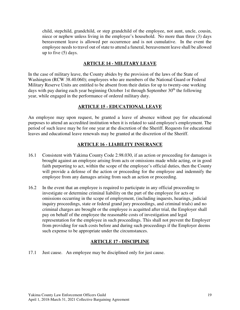child, stepchild, grandchild, or step grandchild of the employee, not aunt, uncle, cousin, niece or nephew unless living in the employee's household. No more than three (3) days bereavement leave is allowed per occurrence and is not cumulative. In the event the employee needs to travel out of state to attend a funeral, bereavement leave shall be allowed up to five (5) days.

#### **ARTICLE 14 - MILITARY LEAVE**

In the case of military leave, the County abides by the provision of the laws of the State of Washington (RCW 38.40.060); employees who are members of the National Guard or Federal Military Reserve Units are entitled to be absent from their duties for up to twenty-one working days with pay during each year beginning October 1st through September  $30<sup>th</sup>$  the following year, while engaged in the performance of ordered military duty.

## **ARTICLE 15 - EDUCATIONAL LEAVE**

An employee may upon request, be granted a leave of absence without pay for educational purposes to attend an accredited institution when it is related to said employee's employment. The period of such leave may be for one year at the discretion of the Sheriff. Requests for educational leaves and educational leave renewals may be granted at the discretion of the Sheriff.

## **ARTICLE 16 - LIABILITY INSURANCE**

- 16.1 Consistent with Yakima County Code 2.98.030, if an action or proceeding for damages is brought against an employee arising from acts or omissions made while acting, or in good faith purporting to act, within the scope of the employee's official duties, then the County will provide a defense of the action or proceeding for the employee and indemnify the employee from any damages arising from such an action or proceeding.
- 16.2 In the event that an employee is required to participate in any official proceeding to investigate or determine criminal liability on the part of the employee for acts or omissions occurring in the scope of employment, (including inquests, hearings, judicial inquiry proceedings, state or federal grand jury proceedings, and criminal trials) and no criminal charges are brought or the employee is acquitted after trial, the Employer shall pay on behalf of the employee the reasonable costs of investigation and legal representation for the employee in such proceedings. This shall not prevent the Employer from providing for such costs before and during such proceedings if the Employer deems such expense to be appropriate under the circumstances.

#### **ARTICLE 17 - DISCIPLINE**

17.1 Just cause. An employee may be disciplined only for just cause.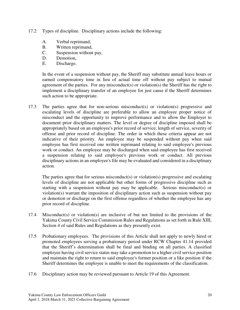- 17.2 Types of discipline. Disciplinary actions include the following:
	- A. Verbal reprimand,
	- B. Written reprimand,
	- C. Suspension without pay,
	- D. Demotion,
	- E. Discharge.

In the event of a suspension without pay, the Sheriff may substitute annual leave hours or earned compensatory time in lieu of actual time off without pay subject to mutual agreement of the parties. For any misconduct(s) or violation(s) the Sheriff has the right to implement a disciplinary transfer of an employee for just cause if the Sheriff determines such action to be appropriate.

17.3 The parties agree that for non-serious misconduct(s) or violation(s) progressive and escalating levels of discipline are preferable to allow an employee proper notice of misconduct and the opportunity to improve performance and to allow the Employer to document prior disciplinary matters. The level or degree of discipline imposed shall be appropriately based on an employee's prior record of service, length of service, severity of offense and prior record of discipline. The order in which these criteria appear are not indicative of their priority. An employee may be suspended without pay when said employee has first received one written reprimand relating to said employee's previous work or conduct. An employee may be discharged when said employee has first received a suspension relating to said employee's previous work or conduct. All previous disciplinary actions in an employee's file may be evaluated and considered in a disciplinary action.

The parties agree that for serious misconduct(s) or violation(s) progressive and escalating levels of discipline are not applicable but other forms of progressive discipline such as starting with a suspension without pay may be applicable. Serious misconduct(s) or violation(s) warrant the imposition of disciplinary action such as suspension without pay or demotion or discharge on the first offense regardless of whether the employee has any prior record of discipline.

- 17.4 Misconduct(s) or violation(s) are inclusive of but not limited to the provisions of the Yakima County Civil Service Commission Rules and Regulations as set forth in Rule XIII, Section 4 of said Rules and Regulations as they presently exist.
- 17.5 Probationary employees. The provisions of this Article shall not apply to newly hired or promoted employees serving a probationary period under RCW Chapter 41.14 provided that the Sheriff's determination shall be final and binding on all parties. A classified employee having civil service status may take a promotion to a higher civil service position and maintain the right to return to said employee's former position or a like position if the Sheriff determines the employee is unable to meet the requirements of the classification.
- 17.6 Disciplinary action may be reviewed pursuant to Article 19 of this Agreement.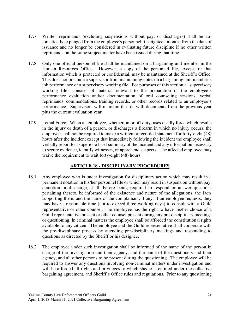- 17.7 Written reprimands (excluding suspensions without pay, or discharges) shall be automatically expunged from the employee's personnel file eighteen months from the date of issuance and no longer be considered in evaluating future discipline if no other written reprimands on the same subject matter have been issued during that time.
- 17.8 Only one official personnel file shall be maintained on a bargaining unit member in the Human Resources Office. However, a copy of the personnel file, except for that information which is protected or confidential, may be maintained at the Sheriff's Office. This does not preclude a supervisor from maintaining notes on a bargaining unit member's job performance or a supervisory working file. For purposes of this section a "supervisory working file" consists of material relevant to the preparation of the employee's performance evaluation and/or documentation of oral counseling sessions, verbal reprimands, commendations, training records, or other records related to an employee's performance. Supervisors will maintain the file with documents from the previous year plus the current evaluation year.
- 17.9 Lethal Force: When an employee, whether on or off duty, uses deadly force which results in the injury or death of a person, or discharges a firearm in which no injury occurs, the employee shall not be required to make a written or recorded statement for forty-eight (48) hours after the incident except that immediately following the incident the employee shall verbally report to a superior a brief summary of the incident and any information necessary to secure evidence, identify witnesses, or apprehend suspects. The affected employee may waive the requirement to wait forty-eight (48) hours.

# **ARTICLE 18 - DISCIPLINARY PROCEDURES**

- 18.1 Any employee who is under investigation for disciplinary action which may result in a permanent notation in his/her personnel file or which may result in suspension without pay, demotion or discharge, shall, before being required to respond or answer questions pertaining thereto, be informed of the existence and nature of the allegations, the facts supporting them, and the name of the complainant, if any. If an employee requests, they may have a reasonable time (not to exceed three working days) to consult with a Guild representative or other counsel. The employee has the right to have his/her choice of a Guild representative present or other counsel present during any pre-disciplinary meetings or questioning. In criminal matters the employee shall be afforded the constitutional rights available to any citizen. The employee and the Guild representative shall cooperate with the pre-disciplinary process by attending pre-disciplinary meetings and responding to questions as directed by the Sheriff or his designee.
- 18.2 The employee under such investigation shall be informed of the name of the person in charge of the investigation and their agency, and the name of the questioners and their agency, and all other persons to be present during the questioning. The employee will be required to answer any questions involving non-criminal matters under investigation and will be afforded all rights and privileges to which she/he is entitled under the collective bargaining agreement, and Sheriff's Office rules and regulations. Prior to any questioning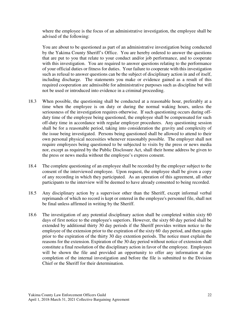where the employee is the focus of an administrative investigation, the employee shall be advised of the following:

 You are about to be questioned as part of an administrative investigation being conducted by the Yakima County Sheriff's Office. You are hereby ordered to answer the questions that are put to you that relate to your conduct and/or job performance, and to cooperate with this investigation. You are required to answer questions relating to the performance of your official duties or fitness for duties. Your failure to cooperate with this investigation such as refusal to answer questions can be the subject of disciplinary action in and of itself, including discharge. The statements you make or evidence gained as a result of this required cooperation are admissible for administrative purposes such as discipline but will not be used or introduced into evidence in a criminal proceeding.

- 18.3 When possible, the questioning shall be conducted at a reasonable hour, preferably at a time when the employee is on duty or during the normal waking hours, unless the seriousness of the investigation requires otherwise. If such questioning occurs during offduty time of the employee being questioned, the employee shall be compensated for such off-duty time in accordance with regular employer procedures. Any questioning session shall be for a reasonable period, taking into consideration the gravity and complexity of the issue being investigated. Persons being questioned shall be allowed to attend to their own personal physical necessities whenever reasonably possible. The employer shall not require employees being questioned to be subjected to visits by the press or news media nor, except as required by the Public Disclosure Act, shall their home address be given to the press or news media without the employee's express consent.
- 18.4 The complete questioning of an employee shall be recorded by the employer subject to the consent of the interviewed employee. Upon request, the employee shall be given a copy of any recording in which they participated. As an operation of this agreement, all other participants to the interview will be deemed to have already consented to being recorded.
- 18.5 Any disciplinary action by a supervisor other than the Sheriff, except informal verbal reprimands of which no record is kept or entered in the employee's personnel file, shall not be final unless affirmed in writing by the Sheriff.
- 18.6 The investigation of any potential disciplinary action shall be completed within sixty 60 days of first notice to the employee's superiors. However, the sixty 60 day period shall be extended by additional thirty 30 day periods if the Sheriff provides written notice to the employee of the extension prior to the expiration of the sixty 60 day period, and then again prior to the expiration of the thirty 30 day extention periods. The notice must explain the reasons for the extension. Expiration of the 30 day period without notice of extension shall constitute a final resolution of the disciplinary action in favor of the employee. Employees will be shown the file and provided an opportunity to offer any information at the completion of the internal investigation and before the file is submitted to the Division Chief or the Sheriff for their determination.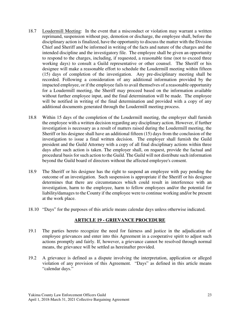- 18.7 Loudermill Meeting: In the event that a misconduct or violation may warrant a written reprimand, suspension without pay, demotion or discharge, the employee shall, before the disciplinary action is finalized, have the opportunity to discuss the matter with the Division Chief and Sheriff and be informed in writing of the facts and nature of the charges and the intended discipline and the investigatory file. The employee shall be given an opportunity to respond to the charges, including, if requested, a reasonable time (not to exceed three working days) to consult a Guild representative or other counsel. The Sheriff or his designee will make a reasonable effort to schedule the Loudermill meeting within fifteen (15) days of completion of the investigation. Any pre-disciplinary meeting shall be recorded. Following a consideration of any additional information provided by the impacted employee, or if the employee fails to avail themselves of a reasonable opportunity for a Loudermill meeting, the Sheriff may proceed based on the information available without further employee input, and the final determination will be made. The employee will be notified in writing of the final determination and provided with a copy of any additional documents generated through the Loudermill meeting process.
- 18.8 Within 15 days of the completion of the Loudermill meeting, the employer shall furnish the employee with a written decision regarding any disciplinary action. However, if further investigation is necessary as a result of matters raised during the Loudermill meeting, the Sheriff or his designee shall have an additional fifteen (15) days from the conclusion of the investigation to issue a final written decision. The employer shall furnish the Guild president and the Guild Attorney with a copy of all final disciplinary actions within three days after such action is taken. The employer shall, on request, provide the factual and procedural basis for such action to the Guild. The Guild will not distribute such information beyond the Guild board of directors without the affected employee's consent.
- 18.9 The Sheriff or his designee has the right to suspend an employee with pay pending the outcome of an investigation. Such suspension is appropriate if the Sheriff or his designee determines that there are circumstances which could result in interference with an investigation, harm to the employee, harm to fellow employees and/or the potential for liability/damages to the County if the employee were to continue working and/or be present at the work place.
- 18.10 "Days" for the purposes of this article means calendar days unless otherwise indicated.

#### **ARTICLE 19 - GRIEVANCE PROCEDURE**

- 19.1 The parties hereto recognize the need for fairness and justice in the adjudication of employee grievances and enter into this Agreement in a cooperative spirit to adjust such actions promptly and fairly. If, however, a grievance cannot be resolved through normal means, the grievance will be settled as hereinafter provided.
- 19.2 A grievance is defined as a dispute involving the interpretation, application or alleged violation of any provision of this Agreement. "Days" as defined in this article means "calendar days."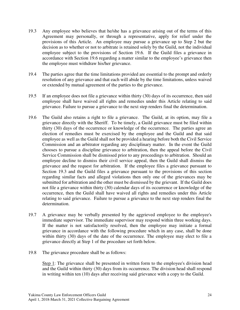- 19.3 Any employee who believes that he/she has a grievance arising out of the terms of this Agreement may personally, or through a representative, apply for relief under the provisions of this Article. An employee may pursue a grievance up to Step 2 but the decision as to whether or not to arbitrate is retained solely by the Guild, not the individual employee subject to the provisions of Section 19.6. If the Guild files a grievance in accordance with Section 19.6 regarding a matter similar to the employee's grievance then the employee must withdraw his/her grievance.
- 19.4 The parties agree that the time limitations provided are essential to the prompt and orderly resolution of any grievance and that each will abide by the time limitations, unless waived or extended by mutual agreement of the parties to the grievance.
- 19.5 If an employee does not file a grievance within thirty (30) days of its occurrence, then said employee shall have waived all rights and remedies under this Article relating to said grievance. Failure to pursue a grievance to the next step renders final the determination.
- 19.6 The Guild also retains a right to file a grievance. The Guild, at its option, may file a grievance directly with the Sheriff. To be timely, a Guild grievance must be filed within thirty (30) days of the occurrence or knowledge of the occurrence. The parties agree an election of remedies must be exercised by the employee and the Guild and that said employee as well as the Guild shall not be provided a hearing before both the Civil Service Commission and an arbitrator regarding any disciplinary matter. In the event the Guild chooses to pursue a discipline grievance to arbitration, then the appeal before the Civil Service Commission shall be dismissed prior to any proceedings to arbitration. Should an employee decline to dismiss their civil service appeal, then the Guild shall dismiss the grievance and the request for arbitration. If the employee files a grievance pursuant to Section 19.3 and the Guild files a grievance pursuant to the provisions of this section regarding similar facts and alleged violations then only one of the grievances may be submitted for arbitration and the other must be dismissed by the grievant. If the Guild does not file a grievance within thirty (30) calendar days of its occurrence or knowledge of the occurrence, then the Guild shall have waived all rights and remedies under this Article relating to said grievance. Failure to pursue a grievance to the next step renders final the determination.
- 19.7 A grievance may be verbally presented by the aggrieved employee to the employee's immediate supervisor. The immediate supervisor may respond within three working days. If the matter is not satisfactorily resolved, then the employee may initiate a formal grievance in accordance with the following procedure which in any case, shall be done within thirty (30) days of the date of the occurrence. The employee may elect to file a grievance directly at Step 1 of the procedure set forth below.
- 19.8 The grievance procedure shall be as follows:

Step 1: The grievance shall be presented in written form to the employee's division head and the Guild within thirty (30) days from its occurrence. The division head shall respond in writing within ten (10) days after receiving said grievance with a copy to the Guild.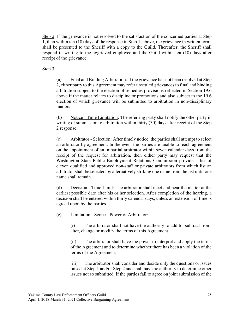Step 2: If the grievance is not resolved to the satisfaction of the concerned parties at Step 1, then within ten (10) days of the response in Step 1, above, the grievance in written form, shall be presented to the Sheriff with a copy to the Guild. Thereafter, the Sheriff shall respond in writing to the aggrieved employee and the Guild within ten (10) days after receipt of the grievance.

Step  $3$ :

(a) Final and Binding Arbitration: If the grievance has not been resolved at Step 2, either party to this Agreement may refer unsettled grievances to final and binding arbitration subject to the election of remedies provisions reflected in Section 19.6 above if the matter relates to discipline or promotions and also subject to the 19.6 election of which grievance will be submitted to arbitration in non-disciplinary matters.

(b) Notice - Time Limitation: The referring party shall notify the other party in writing of submission to arbitration within thirty (30) days after receipt of the Step 2 response.

(c) Arbitrator - Selection: After timely notice, the parties shall attempt to select an arbitrator by agreement. In the event the parties are unable to reach agreement on the appointment of an impartial arbitrator within seven calendar days from the receipt of the request for arbitration, then either party may request that the Washington State Public Employment Relations Commission provide a list of eleven qualified and approved non-staff or private arbitrators from which list an arbitrator shall be selected by alternatively striking one name from the list until one name shall remain.

(d) Decision - Time Limit: The arbitrator shall meet and hear the matter at the earliest possible date after his or her selection. After completion of the hearing, a decision shall be entered within thirty calendar days, unless an extension of time is agreed upon by the parties.

(e) Limitation - Scope - Power of Arbitrator:

(i) The arbitrator shall not have the authority to add to, subtract from, alter, change or modify the terms of this Agreement.

(ii) The arbitrator shall have the power to interpret and apply the terms of the Agreement and to determine whether there has been a violation of the terms of the Agreement.

(iii) The arbitrator shall consider and decide only the questions or issues raised at Step 1 and/or Step 2 and shall have no authority to determine other issues not so submitted. If the parties fail to agree on joint submission of the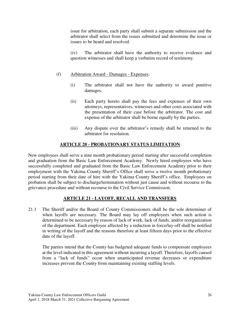issue for arbitration, each party shall submit a separate submission and the arbitrator shall select from the issues submitted and determine the issue or issues to be heard and resolved.

(iv) The arbitrator shall have the authority to receive evidence and question witnesses and shall keep a verbatim record of testimony.

## (f) Arbitration Award - Damages - Expenses:

- (i) The arbitrator shall not have the authority to award punitive damages.
- (ii) Each party hereto shall pay the fees and expenses of their own attorneys, representatives, witnesses and other costs associated with the presentation of their case before the arbitrator. The cost and expense of the arbitrator shall be borne equally by the parties.
- (iii) Any dispute over the arbitrator's remedy shall be returned to the arbitrator for resolution.

# **ARTICLE 20 - PROBATIONARY STATUS LIMITATION**

New employees shall serve a nine month probationary period starting after successful completion and graduation from the Basic Law Enforcement Academy. Newly hired employees who have successfully completed and graduated from the Basic Law Enforcement Academy prior to their employment with the Yakima County Sheriff's Office shall serve a twelve month probationary period starting from their date of hire with the Yakima County Sheriff's office. Employees on probation shall be subject to discharge/termination without just cause and without recourse to the grievance procedure and without recourse to the Civil Service Commission.

# **ARTICLE 21 - LAYOFF, RECALL AND TRANSFERS**

21.1 The Sheriff and/or the Board of County Commissioners shall be the sole determiner of when layoffs are necessary. The Board may lay off employees when such action is determined to be necessary by reason of lack of work, lack of funds, and/or reorganization of the department. Each employee affected by a reduction in force/lay-off shall be notified in writing of the layoff and the reasons therefore at least fifteen days prior to the effective date of the layoff.

The parties intend that the County has budgeted adequate funds to compensate employees at the level indicated in this agreement without incurring a layoff. Therefore, layoffs caused from a "lack of funds" occur when unanticipated revenue decreases or expenditure increases prevent the County from maintaining existing staffing levels.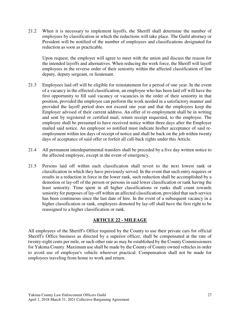21.2 When it is necessary to implement layoffs, the Sheriff shall determine the number of employees by classification in which the reductions will take place. The Guild attorney or President will be notified of the number of employees and classifications designated for reduction as soon as practicable.

Upon request, the employer will agree to meet with the union and discuss the reason for the intended layoffs and alternatives. When reducing the work force, the Sheriff will layoff employees in the reverse order of their seniority within the affected classification of line deputy, deputy sergeant, or lieutenant.

- 21.3 Employees laid off will be eligible for reinstatement for a period of one year. In the event of a vacancy in the effected classification, an employee who has been laid off will have the first opportunity to fill said vacancy or vacancies in the order of their seniority in that position, provided the employee can perform the work needed in a satisfactory manner and provided the layoff period does not exceed one year and that the employees keep the Employer advised of their current address. An offer of re-employment shall be in writing and sent by registered or certified mail, return receipt requested, to the employee. The employee shall be presumed to have received notice within three days after the Employer mailed said notice. An employee so notified must indicate his/her acceptance of said reemployment within ten days of receipt of notice and shall be back on the job within twenty days of acceptance of said offer or forfeit all call-back rights under this Article.
- 21.4 All permanent interdepartmental transfers shall be preceded by a five day written notice to the affected employee, except in the event of emergency.
- 21.5 Persons laid off within each classification shall revert to the next lowest rank or classification in which they have previously served. In the event that such entry requires or results in a reduction in force in the lower rank, such reduction shall be accomplished by a demotion or lay-off of the person or persons in said lower classification or rank having the least seniority. Time spent in all higher classifications or ranks shall count towards seniority for purposes of lay-off within an affected classification, provided that such service has been continuous since the last date of hire. In the event of a subsequent vacancy in a higher classification or rank, employees demoted by lay-off shall have the first right to be reassigned to a higher classification or rank.

## **ARTICLE 22 - MILEAGE**

All employees of the Sheriff's Office required by the County to use their private cars for official Sheriff's Office business as directed by a superior officer, shall be compensated at the rate of twenty-eight cents per mile, or such other rate as may be established by the County Commissioners for Yakima County. Maximum use shall be made by the County of County owned vehicles in order to avoid use of employee's vehicle wherever practical. Compensation shall not be made for employees traveling from home to work and return.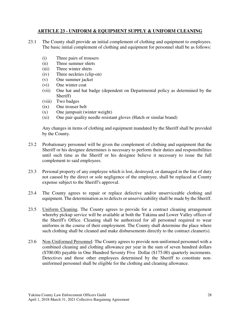#### **ARTICLE 23 - UNIFORM & EQUIPMENT SUPPLY & UNIFORM CLEANING**

- 23.1 The County shall provide an initial complement of clothing and equipment to employees. The basic initial complement of clothing and equipment for personnel shall be as follows:
	- (i) Three pairs of trousers
	- (ii) Three summer shirts
	- (iii) Three winter shirts
	- (iv) Three neckties (clip-on)
	- (v) One summer jacket
	- (vi) One winter coat
	- (vii) One hat and hat badge (dependent on Departmental policy as determined by the Sheriff)
	- (viii) Two badges
	- (ix) One trouser belt
	- (x) One jumpsuit (winter weight)
	- (xi) One pair quality needle resistant gloves (Hatch or similar brand)

 Any changes in items of clothing and equipment mandated by the Sheriff shall be provided by the County.

- 23.2 Probationary personnel will be given the complement of clothing and equipment that the Sheriff or his designee determines is necessary to perform their duties and responsibilities until such time as the Sheriff or his designee believe it necessary to issue the full complement to said employees.
- 23.3 Personal property of any employee which is lost, destroyed, or damaged in the line of duty not caused by the direct or sole negligence of the employee, shall be replaced at County expense subject to the Sheriff's approval.
- 23.4 The County agrees to repair or replace defective and/or unserviceable clothing and equipment. The determination as to defects or unserviceability shall be made by the Sheriff.
- 23.5 Uniform Cleaning. The County agrees to provide for a contract cleaning arrangement whereby pickup service will be available at both the Yakima and Lower Valley offices of the Sheriff's Office. Cleaning shall be authorized for all personnel required to wear uniforms in the course of their employment. The County shall determine the place where such clothing shall be cleaned and make disbursements directly to the contract cleaner(s).
- 23.6 Non-Uniformed Personnel: The County agrees to provide non-uniformed personnel with a combined cleaning and clothing allowance per year in the sum of seven hundred dollars (\$700.00) payable in One Hundred Seventy Five Dollar (\$175.00) quarterly increments. Detectives and those other employees determined by the Sheriff to constitute nonuniformed personnel shall be eligible for the clothing and cleaning allowance.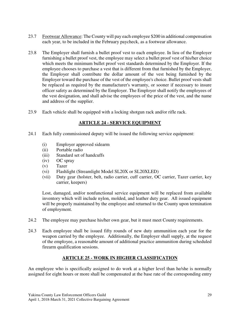- 23.7 Footwear Allowance: The County will pay each employee \$200 in additional compensation each year, to be included in the February paycheck, as a footwear allowance.
- 23.8 The Employer shall furnish a bullet proof vest to each employee. In lieu of the Employer furnishing a bullet proof vest, the employee may select a bullet proof vest of his/her choice which meets the minimum bullet proof vest standards determined by the Employer. If the employee chooses to purchase a vest that is different from that furnished by the Employer, the Employer shall contribute the dollar amount of the vest being furnished by the Employer toward the purchase of the vest of the employee's choice. Bullet proof vests shall be replaced as required by the manufacturer's warranty, or sooner if necessary to insure officer safety as determined by the Employer. The Employer shall notify the employees of the vest designation, and shall advise the employees of the price of the vest, and the name and address of the supplier.
- 23.9 Each vehicle shall be equipped with a locking shotgun rack and/or rifle rack.

# **ARTICLE 24 - SERVICE EQUIPMENT**

- 24.1 Each fully commissioned deputy will be issued the following service equipment:
	- (i) Employer approved sidearm
	- (ii) Portable radio
	- (iii) Standard set of handcuffs
	- (iv) OC spray
	- (v) Tazer
	- (vi) Flashlight (Streamlight Model SL20X or SL20XLED)
	- (vii) Duty gear (holster, belt, radio carrier, cuff carrier, OC carrier, Tazer carrier, key carrier, keepers)

Lost, damaged, and/or nonfunctional service equipment will be replaced from available inventory which will include nylon, molded, and leather duty gear. All issued equipment will be properly maintained by the employee and returned to the County upon termination of employment.

- 24.2 The employee may purchase his/her own gear, but it must meet County requirements.
- 24.3 Each employee shall be issued fifty rounds of new duty ammunition each year for the weapon carried by the employee. Additionally, the Employer shall supply, at the request of the employee, a reasonable amount of additional practice ammunition during scheduled firearm qualification sessions.

# **ARTICLE 25 - WORK IN HIGHER CLASSIFICATION**

An employee who is specifically assigned to do work at a higher level than he/she is normally assigned for eight hours or more shall be compensated at the base rate of the corresponding entry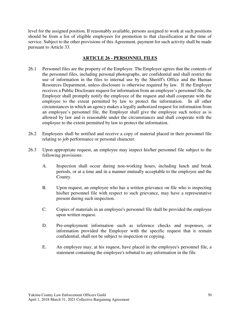level for the assigned position. If reasonably available, persons assigned to work at such positions should be from a list of eligible employees for promotion to that classification at the time of service. Subject to the other provisions of this Agreement, payment for such activity shall be made pursuant to Article 33.

## **ARTICLE 26 - PERSONNEL FILES**

- 26.1 Personnel files are the property of the Employer. The Employer agrees that the contents of the personnel files, including personal photographs, are confidential and shall restrict the use of information in the files to internal use by the Sheriff's Office and the Human Resources Department, unless disclosure is otherwise required by law. If the Employer receives a Public Disclosure request for information from an employee's personnel file, the Employer shall promptly notify the employee of the request and shall cooperate with the employee to the extent permitted by law to protect the information. In all other circumstances in which an agency makes a legally authorized request for information from an employee's personnel file, the Employer shall give the employee such notice as is allowed by law and is reasonable under the circumstances and shall cooperate with the employee to the extent permitted by law to protect the information.
- 26.2 Employees shall be notified and receive a copy of material placed in their personnel file relating to job performance or personal character.
- 26.3 Upon appropriate request, an employee may inspect his/her personnel file subject to the following provisions:
	- A. Inspection shall occur during non-working hours, including lunch and break periods, or at a time and in a manner mutually acceptable to the employee and the County.
	- B. Upon request, an employee who has a written grievance on file who is inspecting his/her personnel file with respect to such grievance, may have a representative present during such inspection.
	- C. Copies of materials in an employee's personnel file shall be provided the employee upon written request.
	- D. Pre-employment information such as reference checks and responses, or information provided the Employer with the specific request that it remain confidential, shall not be subject to inspection or copying.
	- E. An employee may, at his request, have placed in the employee's personnel file, a statement containing the employee's rebuttal to any information in the file.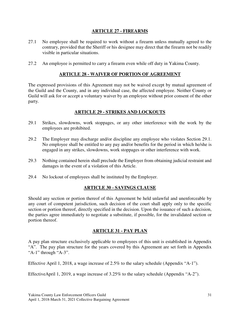## **ARTICLE 27 - FIREARMS**

- 27.1 No employee shall be required to work without a firearm unless mutually agreed to the contrary, provided that the Sheriff or his designee may direct that the firearm not be readily visible in particular situations.
- 27.2 An employee is permitted to carry a firearm even while off duty in Yakima County.

# **ARTICLE 28 - WAIVER OF PORTION OF AGREEMENT**

The expressed provisions of this Agreement may not be waived except by mutual agreement of the Guild and the County, and in any individual case, the affected employee. Neither County or Guild will ask for or accept a voluntary waiver by an employee without prior consent of the other party.

# **ARTICLE 29 - STRIKES AND LOCKOUTS**

- 29.1 Strikes, slowdowns, work stoppages, or any other interference with the work by the employees are prohibited.
- 29.2 The Employer may discharge and/or discipline any employee who violates Section 29.1. No employee shall be entitled to any pay and/or benefits for the period in which he/she is engaged in any strikes, slowdowns, work stoppages or other interference with work.
- 29.3 Nothing contained herein shall preclude the Employer from obtaining judicial restraint and damages in the event of a violation of this Article.
- 29.4 No lockout of employees shall be instituted by the Employer.

## **ARTICLE 30 - SAVINGS CLAUSE**

Should any section or portion thereof of this Agreement be held unlawful and unenforceable by any court of competent jurisdiction, such decision of the court shall apply only to the specific section or portion thereof, directly specified in the decision. Upon the issuance of such a decision, the parties agree immediately to negotiate a substitute, if possible, for the invalidated section or portion thereof.

## **ARTICLE 31 - PAY PLAN**

A pay plan structure exclusively applicable to employees of this unit is established in Appendix "A". The pay plan structure for the years covered by this Agreement are set forth in Appendix "A-1" through "A-3".

Effective April 1, 2018, a wage increase of 2.5% to the salary schedule (Appendix "A-1").

EffectiveApril 1, 2019, a wage increase of 3.25% to the salary schedule (Appendix "A-2").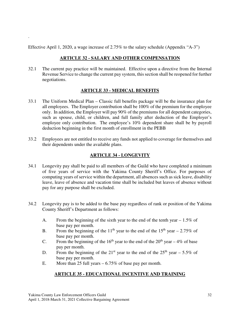Effective April 1, 2020, a wage increase of 2.75% to the salary schedule (Appendix "A-3")

.

# **ARTICLE 32 - SALARY AND OTHER COMPENSATION**

32.1 The current pay practice will be maintained. Effective upon a directive from the Internal Revenue Service to change the current pay system, this section shall be reopened for further negotiations.

# **ARTICLE 33 - MEDICAL BENEFITS**

- 33.1 The Uniform Medical Plan Classic full benefits package will be the insurance plan for all employees. The Employer contribution shall be 100% of the premium for the employee only. In addition, the Employer will pay 90% of the premiums for all dependent categories, such as spouse, child, or children, and full family after deduction of the Employer's employee only contribution. The employee's 10% dependent share shall be by payroll deduction beginning in the first month of enrollment in the PEBB
- 33.2 Employees are not entitled to receive any funds not applied to coverage for themselves and their dependents under the available plans.

# **ARTICLE 34 - LONGEVITY**

- 34.1 Longevity pay shall be paid to all members of the Guild who have completed a minimum of five years of service with the Yakima County Sheriff's Office. For purposes of computing years of service within the department, all absences such as sick leave, disability leave, leave of absence and vacation time shall be included but leaves of absence without pay for any purpose shall be excluded.
- 34.2 Longevity pay is to be added to the base pay regardless of rank or position of the Yakima County Sheriff's Department as follows:
	- A. From the beginning of the sixth year to the end of the tenth year  $-1.5\%$  of base pay per month.
	- B. From the beginning of the 11<sup>th</sup> year to the end of the 15<sup>th</sup> year 2.75% of base pay per month.
	- C. From the beginning of the 16<sup>th</sup> year to the end of the 20<sup>th</sup> year 4% of base pay per month.
	- D. From the beginning of the  $21<sup>st</sup>$  year to the end of the  $25<sup>th</sup>$  year 5.5% of base pay per month.
	- E. More than 25 full years 6.75% of base pay per month.

# **ARTICLE 35 - EDUCATIONAL INCENTIVE AND TRAINING**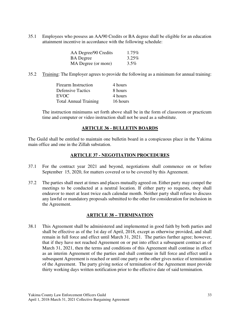35.1 Employees who possess an AA/90 Credits or BA degree shall be eligible for an education attainment incentive in accordance with the following schedule:

| AA Degree/90 Credits | $1.75\%$ |
|----------------------|----------|
| <b>BA</b> Degree     | $3.25\%$ |
| MA Degree (or more)  | $3.5\%$  |

35.2 Training: The Employer agrees to provide the following as a minimum for annual training:

| <b>Firearm Instruction</b>   | 4 hours  |
|------------------------------|----------|
| Defensive Tactics            | 8 hours  |
| EVOC                         | 4 hours  |
| <b>Total Annual Training</b> | 16 hours |

 The instruction minimums set forth above shall be in the form of classroom or practicum time and computer or video instruction shall not be used as a substitute.

#### **ARTICLE 36 - BULLETIN BOARDS**

The Guild shall be entitled to maintain one bulletin board in a conspicuous place in the Yakima main office and one in the Zillah substation.

## **ARTICLE 37 - NEGOTIATION PROCEDURES**

- 37.1 For the contract year 2021 and beyond, negotiations shall commence on or before September 15, 2020, for matters covered or to be covered by this Agreement.
- 37.2 The parties shall meet at times and places mutually agreed on. Either party may compel the meetings to be conducted at a neutral location. If either party so requests, they shall endeavor to meet at least twice each calendar month. Neither party shall refuse to discuss any lawful or mandatory proposals submitted to the other for consideration for inclusion in the Agreement.

## **ARTICLE 38 – TERMINATION**

38.1 This Agreement shall be administered and implemented in good faith by both parties and shall be effective as of the 1st day of April, 2018, except as otherwise provided, and shall remain in full force and effect until March 31, 2021. The parties further agree; however, that if they have not reached Agreement on or put into effect a subsequent contract as of March 31, 2021, then the terms and conditions of this Agreement shall continue in effect as an interim Agreement of the parties and shall continue in full force and effect until a subsequent Agreement is reached or until one party or the other gives notice of termination of the Agreement. The party giving notice of termination of the Agreement must provide thirty working days written notification prior to the effective date of said termination.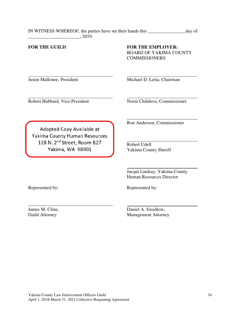| IN WITNESS WHEREOF, the parties have set their hands this | day of |
|-----------------------------------------------------------|--------|
| 2019.                                                     |        |

 $\overline{\phantom{a}}$  , and the contract of the contract of the contract of the contract of the contract of the contract of the contract of the contract of the contract of the contract of the contract of the contract of the contrac

 $\overline{a}$ 

 $\overline{a}$ 

#### **FOR THE GUILD**: **FOR THE EMPLOYER:** BOARD OF YAKIMA COUNTY **COMMISSIONERS**

Justin Mallonee, President Michael D. Leita, Chairman

Robert Hubbard, Vice-President Norm Childress, Commissioner

Adopted Copy Available at Yakima County Human Resources 128 N. 2<sup>nd</sup> Street, Room B27 Robert Udell<br>Yakima, WA 98901 Yakima Coun

Ron Anderson, Commissioner

Yakima County Sheriff

 Jacqui Lindsay, Yakima County Human Resources Director

Represented by: Represented by:

\_\_\_\_\_\_\_\_\_\_\_\_\_\_\_\_\_\_\_\_\_\_\_\_\_\_\_\_\_\_\_\_\_\_\_\_

James M. Cline, Daniel A. Swedlow, Guild Attorney Management Attorney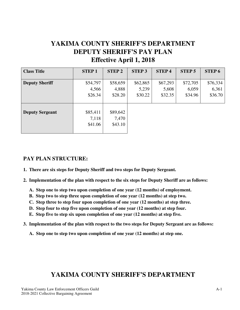# **YAKIMA COUNTY SHERIFF'S DEPARTMENT DEPUTY SHERIFF'S PAY PLAN Effective April 1, 2018**

| <b>Class Title</b>     | <b>STEP1</b> | <b>STEP 2</b> | <b>STEP 3</b> | <b>STEP4</b> | <b>STEP 5</b> | <b>STEP6</b> |
|------------------------|--------------|---------------|---------------|--------------|---------------|--------------|
|                        |              |               |               |              |               |              |
| <b>Deputy Sheriff</b>  | \$54,797     | \$58,659      | \$62,865      | \$67,293     | \$72,705      | \$76,334     |
|                        | 4,566        | 4,888         | 5,239         | 5,608        | 6,059         | 6,361        |
|                        | \$26.34      | \$28.20       | \$30.22       | \$32.35      | \$34.96       | \$36.70      |
|                        |              |               |               |              |               |              |
|                        |              |               |               |              |               |              |
| <b>Deputy Sergeant</b> | \$85,411     | \$89,642      |               |              |               |              |
|                        | 7,118        | 7,470         |               |              |               |              |
|                        | \$41.06      | \$43.10       |               |              |               |              |
|                        |              |               |               |              |               |              |

# **PAY PLAN STRUCTURE:**

- **1. There are six steps for Deputy Sheriff and two steps for Deputy Sergeant.**
- **2. Implementation of the plan with respect to the six steps for Deputy Sheriff are as follows:** 
	- **A. Step one to step two upon completion of one year (12 months) of employment.**
	- **B. Step two to step three upon completion of one year (12 months) at step two.**
	- **C. Step three to step four upon completion of one year (12 months) at step three.**
	- **D. Step four to step five upon completion of one year (12 months) at step four.**
	- **E. Step five to step six upon completion of one year (12 months) at step five.**
- **3. Implementation of the plan with respect to the two steps for Deputy Sergeant are as follows:** 
	- **A. Step one to step two upon completion of one year (12 months) at step one.**

# **YAKIMA COUNTY SHERIFF'S DEPARTMENT**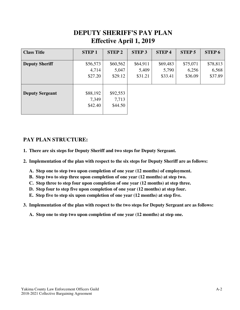# **DEPUTY SHERIFF'S PAY PLAN Effective April 1, 2019**

| <b>Class Title</b>     | <b>STEP1</b> | <b>STEP 2</b> | <b>STEP 3</b> | <b>STEP4</b> | <b>STEP 5</b> | <b>STEP6</b> |
|------------------------|--------------|---------------|---------------|--------------|---------------|--------------|
|                        |              |               |               |              |               |              |
| <b>Deputy Sheriff</b>  | \$56,573     | \$60,562      | \$64,911      | \$69,483     | \$75,071      | \$78,813     |
|                        | 4,714        | 5,047         | 5,409         | 5,790        | 6,256         | 6,568        |
|                        | \$27.20      | \$29.12       | \$31.21       | \$33.41      | \$36.09       | \$37.89      |
|                        |              |               |               |              |               |              |
|                        |              |               |               |              |               |              |
| <b>Deputy Sergeant</b> | \$88,192     | \$92,553      |               |              |               |              |
|                        | 7,349        | 7,713         |               |              |               |              |
|                        | \$42.40      | \$44.50       |               |              |               |              |
|                        |              |               |               |              |               |              |

# **PAY PLAN STRUCTURE:**

- **1. There are six steps for Deputy Sheriff and two steps for Deputy Sergeant.**
- **2. Implementation of the plan with respect to the six steps for Deputy Sheriff are as follows:** 
	- **A. Step one to step two upon completion of one year (12 months) of employment.**
	- **B. Step two to step three upon completion of one year (12 months) at step two.**
	- **C. Step three to step four upon completion of one year (12 months) at step three.**
	- **D. Step four to step five upon completion of one year (12 months) at step four.**
	- **E. Step five to step six upon completion of one year (12 months) at step five.**
- **3. Implementation of the plan with respect to the two steps for Deputy Sergeant are as follows:** 
	- **A. Step one to step two upon completion of one year (12 months) at step one.**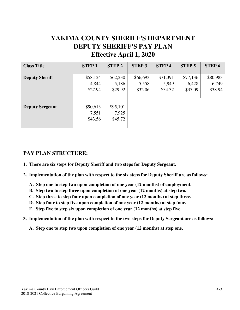# **YAKIMA COUNTY SHERIFF'S DEPARTMENT DEPUTY SHERIFF'S PAY PLAN Effective April 1, 2020**

| <b>Class Title</b>     | <b>STEP1</b> | <b>STEP 2</b> | <b>STEP 3</b> | <b>STEP4</b> | <b>STEP 5</b> | <b>STEP6</b> |
|------------------------|--------------|---------------|---------------|--------------|---------------|--------------|
|                        |              |               |               |              |               |              |
| <b>Deputy Sheriff</b>  | \$58,124     | \$62,230      | \$66,693      | \$71,391     | \$77,136      | \$80,983     |
|                        | 4,844        | 5,186         | 5,558         | 5,949        | 6,428         | 6,749        |
|                        | \$27.94      | \$29.92       | \$32.06       | \$34.32      | \$37.09       | \$38.94      |
|                        |              |               |               |              |               |              |
|                        |              |               |               |              |               |              |
| <b>Deputy Sergeant</b> | \$90,613     | \$95,101      |               |              |               |              |
|                        | 7,551        | 7,925         |               |              |               |              |
|                        | \$43.56      | \$45.72       |               |              |               |              |
|                        |              |               |               |              |               |              |

# **PAY PLAN STRUCTURE:**

- **1. There are six steps for Deputy Sheriff and two steps for Deputy Sergeant.**
- **2. Implementation of the plan with respect to the six steps for Deputy Sheriff are as follows:** 
	- **A. Step one to step two upon completion of one year (12 months) of employment.**
	- **B. Step two to step three upon completion of one year (12 months) at step two.**
	- **C. Step three to step four upon completion of one year (12 months) at step three.**
	- **D. Step four to step five upon completion of one year (12 months) at step four.**
	- **E. Step five to step six upon completion of one year (12 months) at step five.**
- **3. Implementation of the plan with respect to the two steps for Deputy Sergeant are as follows:** 
	- **A. Step one to step two upon completion of one year (12 months) at step one.**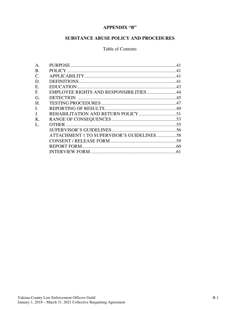### **APPENDIX "B"**

# SUBSTANCE ABUSE POLICY AND PROCEDURES

#### Table of Contents

| A.              |                                           |  |
|-----------------|-------------------------------------------|--|
| <b>B.</b>       |                                           |  |
| $\mathcal{C}$ . |                                           |  |
| D.              |                                           |  |
| Ε.              |                                           |  |
| $F_{\cdot}$     | EMPLOYEE RIGHTS AND RESPONSIBILITIES44    |  |
| G.              |                                           |  |
| H.              |                                           |  |
| Ι.              |                                           |  |
| J.              |                                           |  |
| $K_{\cdot}$     |                                           |  |
| $\mathbf{L}$    |                                           |  |
|                 |                                           |  |
|                 | ATTACHMENT 1 TO SUPERVISOR'S GUIDELINES58 |  |
|                 |                                           |  |
|                 |                                           |  |
|                 |                                           |  |
|                 |                                           |  |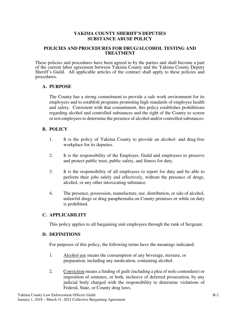#### **YAKIMA COUNTY SHERIFF'S DEPUTIES SUBSTANCE ABUSE POLICY**

#### **POLICIES AND PROCEDURES FOR DRUG/ALCOHOL TESTING AND TREATMENT**

These policies and procedures have been agreed to by the parties and shall become a part of the current labor agreement between Yakima County and the Yakima County Deputy Sheriff's Guild. All applicable articles of the contract shall apply to these policies and procedures.

#### **A. PURPOSE**

The County has a strong commitment to provide a safe work environment for its employees and to establish programs promoting high standards of employee health and safety. Consistent with that commitment, this policy establishes prohibitions regarding alcohol and controlled substances and the right of the County to screen or test employees to determine the presence of alcohol and/or controlled substances.

## **B. POLICY**

- 1. It is the policy of Yakima County to provide an alcohol- and drug-free workplace for its deputies.
- 2. It is the responsibility of the Employer, Guild and employees to preserve and protect public trust, public safety, and fitness for duty.
- 3. It is the responsibility of all employees to report for duty and be able to perform their jobs safely and effectively, without the presence of drugs, alcohol, or any other intoxicating substance.
- 4. The presence, possession, manufacture, use, distribution, or sale of alcohol, unlawful drugs or drug paraphernalia on County premises or while on duty is prohibited.

#### **C. APPLICABILITY**

This policy applies to all bargaining unit employees through the rank of Sergeant.

#### **D. DEFINITIONS**

For purposes of this policy, the following terms have the meanings indicated:

- 1. Alcohol use means the consumption of any beverage, mixture, or preparation, including any medication, containing alcohol.
- 2. Conviction means a finding of guilt (including a plea of nolo contendere) or imposition of sentence, or both, inclusive of deferred prosecution, by any judicial body charged with the responsibility to determine violations of Federal, State, or County drug laws.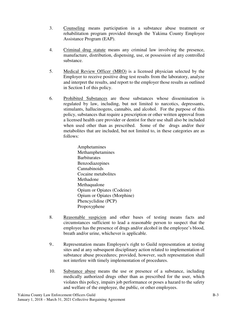- 3. Counseling means participation in a substance abuse treatment or rehabilitation program provided through the Yakima County Employee Assistance Program (EAP).
- 4. Criminal drug statute means any criminal law involving the presence, manufacture, distribution, dispensing, use, or possession of any controlled substance.
- 5. Medical Review Officer (MRO) is a licensed physician selected by the Employer to receive positive drug test results from the laboratory, analyze and interpret the results, and report to the employer those results as outlined in Section I of this policy.
- 6. Prohibited Substances are those substances whose dissemination is regulated by law, including, but not limited to narcotics, depressants, stimulants, hallucinogens, cannabis, and alcohol. For the purpose of this policy, substances that require a prescription or other written approval from a licensed health care provider or dentist for their use shall also be included when used other than as prescribed. Some of the drugs and/or their metabolites that are included, but not limited to, in these categories are as follows:

Amphetamines Methamphetamines **Barbiturates** Benzodiazepines Cannabinoids Cocaine metabolites Methadone Methaqualone Opium or Opiates (Codeine) Opium or Opiates (Morphine) Phencyclidine (PCP) Propoxyphene

- 8. Reasonable suspicion and other bases of testing means facts and circumstances sufficient to lead a reasonable person to suspect that the employee has the presence of drugs and/or alcohol in the employee's blood, breath and/or urine, whichever is applicable.
- 9.. Representation means Employee's right to Guild representation at testing sites and at any subsequent disciplinary action related to implementation of substance abuse procedures; provided, however, such representation shall not interfere with timely implementation of procedures.
- 10. Substance abuse means the use or presence of a substance, including medically authorized drugs other than as prescribed for the user, which violates this policy, impairs job performance or poses a hazard to the safety and welfare of the employee, the public, or other employees.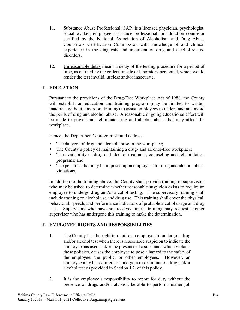- 11. Substance Abuse Professional (SAP) is a licensed physician, psychologist, social worker, employee assistance professional, or addiction counselor certified by the National Association of Alcoholism and Drug Abuse Counselors Certification Commission with knowledge of and clinical experience in the diagnosis and treatment of drug and alcohol-related disorders.
- 12. Unreasonable delay means a delay of the testing procedure for a period of time, as defined by the collection site or laboratory personnel, which would render the test invalid, useless and/or inaccurate.

# **E. EDUCATION**

Pursuant to the provisions of the Drug-Free Workplace Act of 1988, the County will establish an education and training program (may be limited to written materials without classroom training) to assist employees to understand and avoid the perils of drug and alcohol abuse. A reasonable ongoing educational effort will be made to prevent and eliminate drug and alcohol abuse that may affect the workplace.

Hence, the Department's program should address:

- The dangers of drug and alcohol abuse in the workplace;
- The County's policy of maintaining a drug- and alcohol-free workplace;
- The availability of drug and alcohol treatment, counseling and rehabilitation programs; and
- The penalties that may be imposed upon employees for drug and alcohol abuse violations.

In addition to the training above, the County shall provide training to supervisors who may be asked to determine whether reasonable suspicion exists to require an employee to undergo drug and/or alcohol testing. The supervisory training shall include training on alcohol use and drug use. This training shall cover the physical, behavioral, speech, and performance indicators of probable alcohol usage and drug use. Supervisors who have not received initial training may request another supervisor who has undergone this training to make the determination.

# **F. EMPLOYEE RIGHTS AND RESPONSIBILITIES**

- 1. The County has the right to require an employee to undergo a drug and/or alcohol test when there is reasonable suspicion to indicate the employee has used and/or the presence of a substance which violates these policies, causes the employee to pose a hazard to the safety of the employee, the public, or other employees. However, an employee may be required to undergo a re-examination drug and/or alcohol test as provided in Section J.2. of this policy.
- 2. It is the employee's responsibility to report for duty without the presence of drugs and/or alcohol, be able to perform his/her job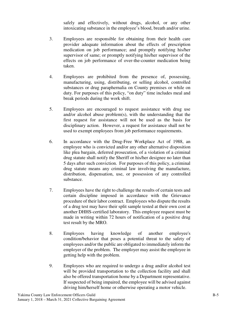safely and effectively, without drugs, alcohol, or any other intoxicating substance in the employee's blood, breath and/or urine.

- 3. Employees are responsible for obtaining from their health care provider adequate information about the effects of prescription medication on job performance; and promptly notifying his/her supervisor of same; or promptly notifying his/her supervisor of the effects on job performance of over-the-counter medication being taken.
- 4. Employees are prohibited from the presence of, possessing, manufacturing, using, distributing, or selling alcohol, controlled substances or drug paraphernalia on County premises or while on duty. For purposes of this policy, "on duty" time includes meal and break periods during the work shift.
- 5. Employees are encouraged to request assistance with drug use and/or alcohol abuse problem(s), with the understanding that the first request for assistance will not be used as the basis for disciplinary action. However, a request for assistance shall not be used to exempt employees from job performance requirements.
- 6. In accordance with the Drug-Free Workplace Act of 1988, an employee who is convicted and/or any other alternative disposition like plea bargain, deferred prosecution, of a violation of a criminal drug statute shall notify the Sheriff or his/her designee no later than 5 days after such conviction. For purposes of this policy, a criminal drug statute means any criminal law involving the manufacture, distribution, dispensation, use, or possession of any controlled substance.
- 7. Employees have the right to challenge the results of certain tests and certain discipline imposed in accordance with the Grievance procedure of their labor contract. Employees who dispute the results of a drug test may have their split sample tested at their own cost at another DHHS-certified laboratory. This employee request must be made in writing within 72 hours of notification of a positive drug test result by the MRO.
- 8. Employees having knowledge of another employee's condition/behavior that poses a potential threat to the safety of employees and/or the public are obligated to immediately inform the employer of the problem. The employer may assist the employee in getting help with the problem.
- 9. Employees who are required to undergo a drug and/or alcohol test will be provided transportation to the collection facility and shall also be offered transportation home by a Department representative. If suspected of being impaired, the employee will be advised against driving him/herself home or otherwise operating a motor vehicle.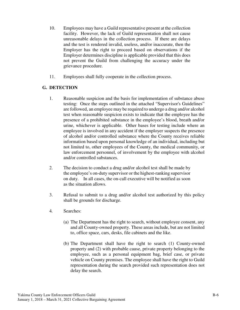- 10. Employees may have a Guild representative present at the collection facility. However, the lack of Guild representation shall not cause unreasonable delays in the collection process. If there are delays and the test is rendered invalid, useless, and/or inaccurate, then the Employer has the right to proceed based on observations if the Employer determines discipline is applicable provided that this does not prevent the Guild from challenging the accuracy under the grievance procedure.
- 11. Employees shall fully cooperate in the collection process.

# **G. DETECTION**

- 1. Reasonable suspicion and the basis for implementation of substance abuse testing: Once the steps outlined in the attached "Supervisor's Guidelines" are followed, an employee may be required to undergo a drug and/or alcohol test when reasonable suspicion exists to indicate that the employee has the presence of a prohibited substance in the employee's blood, breath and/or urine, whichever is applicable. Other bases for testing include where an employee is involved in any accident if the employer suspects the presence of alcohol and/or controlled substance where the County receives reliable information based upon personal knowledge of an individual, including but not limited to, other employees of the County, the medical community, or law enforcement personnel, of involvement by the employee with alcohol and/or controlled substances.
- 2. The decision to conduct a drug and/or alcohol test shall be made by the employee's on-duty supervisor or the highest-ranking supervisor on duty. In all cases, the on-call executive will be notified as soon as the situation allows.
- 3. Refusal to submit to a drug and/or alcohol test authorized by this policy shall be grounds for discharge.
- 4*.* Searches:
	- (a) The Department has the right to search, without employee consent, any and all County-owned property. These areas include, but are not limited to, office space, cars, desks, file cabinets and the like.
	- (b) The Department shall have the right to search (1) County-owned property and (2) with probable cause, private property belonging to the employee, such as a personal equipment bag, brief case, or private vehicle on County premises. The employee shall have the right to Guild representation during the search provided such representation does not delay the search.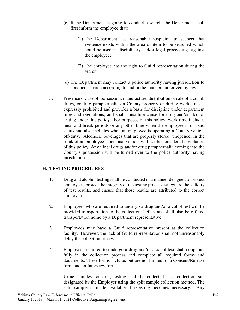- (c) If the Department is going to conduct a search, the Department shall first inform the employee that:
	- (1) The Department has reasonable suspicion to suspect that evidence exists within the area or item to be searched which could be used in disciplinary and/or legal proceedings against the employee;
	- (2) The employee has the right to Guild representation during the search.
- (d) The Department may contact a police authority having jurisdiction to conduct a search according to and in the manner authorized by law.
- 5. Presence of, use of, possession, manufacture, distribution or sale of alcohol, drugs, or drug paraphernalia on County property or during work time is expressly prohibited and provides a basis for discipline under department rules and regulations, and shall constitute cause for drug and/or alcohol testing under this policy. For purposes of this policy, work time includes meal and break periods or any other time when the employee is on paid status and also includes when an employee is operating a County vehicle off-duty. Alcoholic beverages that are properly stored, unopened, in the trunk of an employee's personal vehicle will not be considered a violation of this policy. Any illegal drugs and/or drug paraphernalia coming into the County's possession will be turned over to the police authority having jurisdiction.

## **H. TESTING PROCEDURES**

- 1. Drug and alcohol testing shall be conducted in a manner designed to protect employees, protect the integrity of the testing process, safeguard the validity of test results, and ensure that those results are attributed to the correct employee.
- 2. Employees who are required to undergo a drug and/or alcohol test will be provided transportation to the collection facility and shall also be offered transportation home by a Department representative.
- 3. Employees may have a Guild representative present at the collection facility. However, the lack of Guild representation shall not unreasonably delay the collection process.
- 4. Employees required to undergo a drug and/or alcohol test shall cooperate fully in the collection process and complete all required forms and documents. These forms include, but are not limited to, a Consent/Release form and an Interview form.
- 5. Urine samples for drug testing shall be collected at a collection site designated by the Employer using the split sample collection method. The split sample is made available if retesting becomes necessary. Any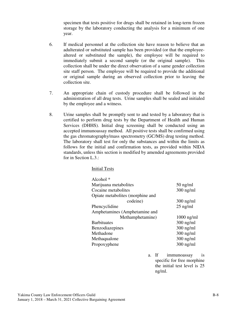specimen that tests positive for drugs shall be retained in long-term frozen storage by the laboratory conducting the analysis for a minimum of one year.

- 6. If medical personnel at the collection site have reason to believe that an adulterated or substituted sample has been provided (or that the employeealtered or substituted the sample), the employee will be required to immediately submit a second sample (or the original sample). This collection shall be under the direct observation of a same gender collection site staff person. The employee will be required to provide the additional or original sample during an observed collection prior to leaving the collection site.
- 7. An appropriate chain of custody procedure shall be followed in the administration of all drug tests. Urine samples shall be sealed and initialed by the employee and a witness.
- 8. Urine samples shall be promptly sent to and tested by a laboratory that is certified to perform drug tests by the Department of Health and Human Services (DHHS). Initial drug screening shall be conducted using an accepted immunoassay method. All positive tests shall be confirmed using the gas chromatography/mass spectrometry (GC/MS) drug testing method. The laboratory shall test for only the substances and within the limits as follows for the initial and confirmation tests, as provided within NIDA standards, unless this section is modified by amended agreements provided for in Section L.3.:

Initial Tests

| Alcohol $*$                      |              |
|----------------------------------|--------------|
| Marijuana metabolites            | $50$ ng/ml   |
| Cocaine metabolites              | $300$ ng/ml  |
| Opiate metabolites (morphine and |              |
| codeine)                         | $300$ ng/ml  |
| Phencyclidine                    | $25$ ng/ml   |
| Amphetamines (Amphetamine and    |              |
| Methamphetamine)                 | $1000$ ng/ml |
| <b>Barbituates</b>               | $300$ ng/ml  |
| Benzodiazepines                  | $300$ ng/ml  |
| Methadone                        | $300$ ng/ml  |
| Methaqualone                     | $300$ ng/ml  |
| Propoxyphene                     | $300$ ng/ml  |
|                                  |              |

a. If immunoassay is specific for free morphine the initial test level is 25 ng/ml.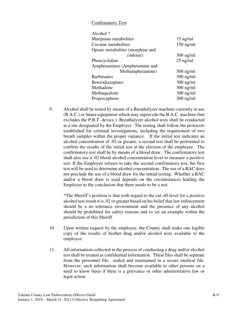#### Confirmatory Test

| Alcohol <sup>*</sup>             |             |
|----------------------------------|-------------|
| Marijuana metabolites            | $15$ ng/ml  |
| Cocaine metabolites              | $150$ ng/ml |
| Opiate metabolites (morphine and |             |
| codeine)                         | $300$ ng/ml |
| Phencyclidine                    | $25$ ng/ml  |
| Amphetamines (Amphetamine and    |             |
| Methamphetamine)                 | $500$ ng/ml |
| <b>Barbituates</b>               | $300$ ng/ml |
| Benzodiazepines                  | $300$ ng/ml |
| Methadone                        | $300$ ng/ml |
| Methaqualone                     | $300$ ng/ml |
| Propoxyphene                     | $300$ ng/ml |
|                                  |             |

9. Alcohol shall be tested by means of a Breathalyzer machine currently in use (B.A.C.) or future equipment which may supercede the B.A.C. machine (but excludes the P.B.T. device.) Breathalyzer alcohol tests shall be conducted at a site designated by the Employer*.* The testing shall follow the protocols established for criminal investigations, including the requirement of two breath samples within the proper variance. If the initial test indicates an alcohol concentration of .02 or greater, a second test shall be performed to confirm the results of the initial test at the election of the employee. The confirmatory test shall be by means of a blood draw. The confirmatory test shall also use a .02 blood alcohol concentration level to measure a positive test. If the Employee refuses to take the second confirmatory test, the first test will be used to determine alcohol concentration. The use of a BAC does not preclude the use of a blood draw for the initial testing. Whether a BAC and/or a blood draw is used depends on the circumstances leading the Employer to the conclusion that there needs to be a test.

\*The Sheriff's position is that with regard to the cut off level for a positive alcohol test result it is .02 or greater based on his belief that law enforcement should be a no tolerance environment and the presence of any alcohol should be prohibited for safety reasons and to set an example within the jurisdiction of this Sheriff.

- 10. Upon written request by the employee, the County shall make one legible copy of the results of his/her drug and/or alcohol tests available to the employee.
- 11. All information collected in the process of conducting a drug and/or alcohol test shall be treated as confidential information. These files shall be separate from the personnel file; sealed and maintained in a secure medical file. However, such information shall become available to other persons on a need to know basis if there is a grievance or other administrative law or legal action.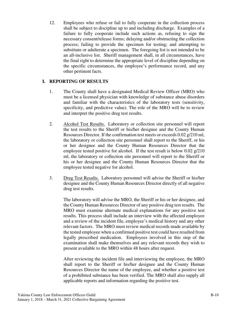12. Employees who refuse or fail to fully cooperate in the collection process shall be subject to discipline up to and including discharge. Examples of a failure to fully cooperate include such actions as, refusing to sign the necessary consent/release forms; delaying and/or obstructing the collection process; failing to provide the specimen for testing; and attempting to substitute or adulterate a specimen. The foregoing list is not intended to be an all-inclusive list. Sheriff management shall, in all circumstances, have the final right to determine the appropriate level of discipline depending on the specific circumstances, the employee's performance record, and any other pertinent facts.

## **I. REPORTING OF RESULTS**

- 1. The County shall have a designated Medical Review Officer (MRO) who must be a licensed physician with knowledge of substance abuse disorders and familiar with the characteristics of the laboratory tests (sensitivity, specificity, and predictive value). The role of the MRO will be to review and interpret the positive drug test results.
- 2. Alcohol Test Results. Laboratory or collection site personnel will report the test results to the Sheriff or his/her designee and the County Human Resources Director. If the confirmation test meets or exceeds 0.02 g/210 ml, the laboratory or collection site personnel shall report to the Sheriff, or his or her designee and the County Human Resources Director that the employee tested positive for alcohol. If the test result is below 0.02 g/210 ml, the laboratory or collection site personnel will report to the Sheriff or his or her designee and the County Human Resources Director that the employee tested negative for alcohol.
- 3. Drug Test Results. Laboratory personnel will advise the Sheriff or his/her designee and the County Human Resources Director directly of all negative drug test results.

The laboratory will advise the MRO, the Sheriff or his or her designee, and the County Human Resources Director of any positive drug test results. The MRO must examine alternate medical explanations for any positive test results. This process shall include an interview with the affected employee and a review of the incident file, employee's medical history and any other relevant factors. The MRO must review medical records made available by the tested employee when a confirmed positive test could have resulted from legally prescribed medication. Employees involved in this step of the examination shall make themselves and any relevant records they wish to present available to the MRO within 48 hours after request.

After reviewing the incident file and interviewing the employee, the MRO shall report to the Sheriff or his/her designee and the County Human Resources Director the name of the employee, and whether a positive test of a prohibited substance has been verified. The MRO shall also supply all applicable reports and information regarding the positive test.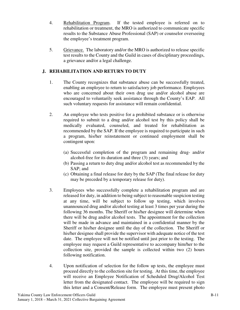- 4. Rehabilitation Program. If the tested employee is referred on to rehabilitation or treatment, the MRO is authorized to communicate specific results to the Substance Abuse Professional (SAP) or counselor overseeing the employee's treatment program.
- 5. Grievance. The laboratory and/or the MRO is authorized to release specific test results to the County and the Guild in cases of disciplinary proceedings, a grievance and/or a legal challenge.

# **J. REHABILITATION AND RETURN TO DUTY**

- 1. The County recognizes that substance abuse can be successfully treated, enabling an employee to return to satisfactory job performance. Employees who are concerned about their own drug use and/or alcohol abuse are encouraged to voluntarily seek assistance through the County's EAP. All such voluntary requests for assistance will remain confidential.
- 2. An employee who tests positive for a prohibited substance or is otherwise required to submit to a drug and/or alcohol test by this policy shall be medically evaluated, counseled, and treated for rehabilitation as recommended by the SAP. If the employee is required to participate in such a program, his/her reinstatement or continued employment shall be contingent upon:
	- (a) Successful completion of the program and remaining drug- and/or alcohol-free for its duration and three (3) years; and
	- (b) Passing a return to duty drug and/or alcohol test as recommended by the SAP; and
	- (c) Obtaining a final release for duty by the SAP (The final release for duty may be preceded by a temporary release for duty).
- 3. Employees who successfully complete a rehabilitation program and are released for duty, in addition to being subject to reasonable suspicion testing at any time, will be subject to follow up testing, which involves unannounced drug and/or alcohol testing at least 3 times per year during the following 36 months. The Sheriff or his/her designee will determine when there will be drug and/or alcohol tests. The appointment for the collection will be made in advance and maintained in a confidential manner by the Sheriff or his/her designee until the day of the collection. The Sheriff or his/her designee shall provide the supervisor with adequate notice of the test date. The employee will not be notified until just prior to the testing. The employee may request a Guild representative to accompany him/her to the collection site, provided the sample is collected within two (2) hours following notification.
- 4. Upon notification of selection for the follow up tests, the employee must proceed directly to the collection site for testing. At this time, the employee will receive an Employee Notification of Scheduled Drug/Alcohol Test letter from the designated contact. The employee will be required to sign this letter and a Consent/Release form. The employee must present photo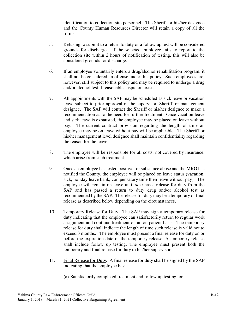identification to collection site personnel. The Sheriff or his/her designee and the County Human Resources Director will retain a copy of all the forms.

- 5. Refusing to submit to a return to duty or a follow up test will be considered grounds for discharge. If the selected employee fails to report to the collection site within 2 hours of notification of testing, this will also be considered grounds for discharge.
- 6. If an employee voluntarily enters a drug/alcohol rehabilitation program, it shall not be considered an offense under this policy. Such employees are, however, still subject to this policy and may be required to undergo a drug and/or alcohol test if reasonable suspicion exists.
- 7. All appointments with the SAP may be scheduled as sick leave or vacation leave subject to prior approval of the supervisor, Sheriff, or management designee. The SAP will contact the Sheriff or his/her designee to make a recommendation as to the need for further treatment. Once vacation leave and sick leave is exhausted, the employee may be placed on leave without pay. The current contract provision regarding the length of time an employee may be on leave without pay will be applicable. The Sheriff or his/her management level designee shall maintain confidentiality regarding the reason for the leave.
- 8. The employee will be responsible for all costs, not covered by insurance, which arise from such treatment.
- 9. Once an employee has tested positive for substance abuse and the MRO has notified the County, the employee will be placed on leave status (vacation, sick, holiday leave bank, compensatory time then leave without pay). The employee will remain on leave until s/he has a release for duty from the SAP and has passed a return to duty drug and/or alcohol test as recommended by the SAP. The release for duty may be a temporary or final release as described below depending on the circumstances.
- 10. Temporary Release for Duty. The SAP may sign a temporary release for duty indicating that the employee can satisfactorily return to regular work assignment and continue treatment on an outpatient basis. The temporary release for duty shall indicate the length of time such release is valid not to exceed 3 months. The employee must present a final release for duty on or before the expiration date of the temporary release. A temporary release shall include follow up testing. The employee must present both the temporary and final release for duty to his/her supervisor.
- 11. Final Release for Duty. A final release for duty shall be signed by the SAP indicating that the employee has:
	- (a) Satisfactorily completed treatment and follow up testing; or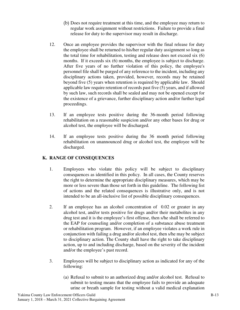- (b) Does not require treatment at this time, and the employee may return to regular work assignment without restrictions. Failure to provide a final release for duty to the supervisor may result in discharge.
- 12. Once an employee provides the supervisor with the final release for duty the employee shall be returned to his/her regular duty assignment so long as the total time for rehabilitation, testing and release does not exceed six (6) months. If it exceeds six (6) months, the employee is subject to discharge. After five years of no further violation of this policy, the employee's personnel file shall be purged of any reference to the incident, including any disciplinary actions taken, provided, however, records may be retained beyond five (5) years when retention is required by applicable law. Should applicable law require retention of records past five (5) years, and if allowed by such law, such records shall be sealed and may not be opened except for the existence of a grievance, further disciplinary action and/or further legal proceedings.
- 13. If an employee tests positive during the 36-month period following rehabilitation on a reasonable suspicion and/or any other bases for drug or alcohol test, the employee will be discharged*.*
- 14. If an employee tests positive during the 36 month period following rehabilitation on unannounced drug or alcohol test, the employee will be discharged.

## **K. RANGE OF CONSEQUENCES**

- 1. Employees who violate this policy will be subject to disciplinary consequences as identified in this policy. In all cases, the County reserves the right to determine the appropriate disciplinary measures, which may be more or less severe than those set forth in this guideline. The following list of actions and the related consequences is illustrative only, and is not intended to be an all-inclusive list of possible disciplinary consequences.
- 2. If an employee has an alcohol concentration of 0.02 or greater in any alcohol test, and/or tests positive for drugs and/or their metabolites in any drug test and it is the employee's first offense, then s/he shall be referred to the EAP for counseling and/or completion of a substance abuse treatment or rehabilitation program. However, if an employee violates a work rule in conjunction with failing a drug and/or alcohol test, then s/he may be subject to disciplinary action. The County shall have the right to take disciplinary action, up to and including discharge, based on the severity of the incident and/or the employee's past record.
- 3. Employees will be subject to disciplinary action as indicated for any of the following:
	- (a) Refusal to submit to an authorized drug and/or alcohol test. Refusal to submit to testing means that the employee fails to provide an adequate urine or breath sample for testing without a valid medical explanation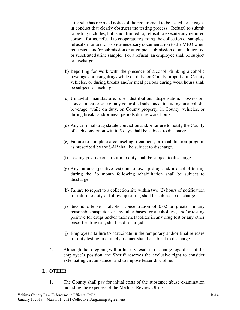after s/he has received notice of the requirement to be tested, or engages in conduct that clearly obstructs the testing process. Refusal to submit to testing includes, but is not limited to, refusal to execute any required consent forms, refusal to cooperate regarding the collection of samples, refusal or failure to provide necessary documentation to the MRO when requested, and/or submission or attempted submission of an adulterated or substituted urine sample. For a refusal, an employee shall be subject to discharge.

- (b) Reporting for work with the presence of alcohol, drinking alcoholic beverages or using drugs while on duty, on County property, in County vehicles, or during breaks and/or meal periods during work hours shall be subject to discharge.
- (c) Unlawful manufacture, use, distribution, dispensation, possession, concealment or sale of any controlled substance, including an alcoholic beverage, while on duty, on County property, in County vehicles, or during breaks and/or meal periods during work hours.
- (d) Any criminal drug statute conviction and/or failure to notify the County of such conviction within 5 days shall be subject to discharge.
- (e) Failure to complete a counseling, treatment, or rehabilitation program as prescribed by the SAP shall be subject to discharge.
- (f) Testing positive on a return to duty shall be subject to discharge.
- (g) Any failures (positive test) on follow up drug and/or alcohol testing during the 36 month following rehabilitation shall be subject to discharge.
- (h) Failure to report to a collection site within two (2) hours of notification for return to duty or follow up testing shall be subject to discharge.
- (i) Second offense alcohol concentration of 0.02 or greater in any reasonable suspicion or any other bases for alcohol test, and/or testing positive for drugs and/or their metabolites in any drug test or any other bases for drug test, shall be discharged.
- (j) Employee's failure to participate in the temporary and/or final releases for duty testing in a timely manner shall be subject to discharge.
- 4. Although the foregoing will ordinarily result in discharge regardless of the employee's position, the Sheriff reserves the exclusive right to consider extenuating circumstances and to impose lesser discipline.

# **L. OTHER**

1. The County shall pay for initial costs of the substance abuse examination including the expenses of the Medical Review Officer.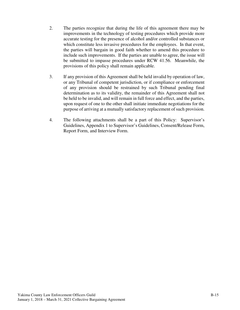- 2. The parties recognize that during the life of this agreement there may be improvements in the technology of testing procedures which provide more accurate testing for the presence of alcohol and/or controlled substances or which constitute less invasive procedures for the employees. In that event, the parties will bargain in good faith whether to amend this procedure to include such improvements. If the parties are unable to agree, the issue will be submitted to impasse procedures under RCW 41.56. Meanwhile, the provisions of this policy shall remain applicable.
- 3. If any provision of this Agreement shall be held invalid by operation of law, or any Tribunal of competent jurisdiction, or if compliance or enforcement of any provision should be restrained by such Tribunal pending final determination as to its validity, the remainder of this Agreement shall not be held to be invalid, and will remain in full force and effect, and the parties, upon request of one to the other shall initiate immediate negotiations for the purpose of arriving at a mutually satisfactory replacement of such provision.
- 4. The following attachments shall be a part of this Policy: Supervisor's Guidelines, Appendix 1 to Supervisor's Guidelines, Consent/Release Form, Report Form, and Interview Form.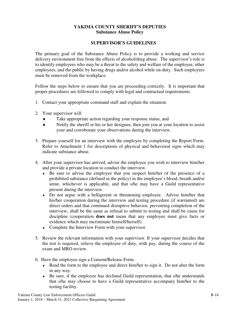#### **YAKIMA COUNTY SHERIFF'S DEPUTIES Substance Abuse Policy**

#### **SUPERVISOR'S GUIDELINES**

The primary goal of the Substance Abuse Policy is to provide a working and service delivery environment free from the effects of alcohol/drug abuse. The supervisor's role is to identify employees who may be a threat to the safety and welfare of the employee, other employees, and the public by having drugs and/or alcohol while on-duty. Such employees must be removed from the workplace.

Follow the steps below to ensure that you are proceeding correctly. It is important that proper procedures are followed to comply with legal and contractual requirements.

- 1. Contact your appropriate command staff and explain the situation.
- 2. Your supervisor will:
	- Take appropriate action regarding your response status, and
	- ♦ Notify the sheriff or his or her designee, then join you at your location to assist your and corroborate your observations during the interview.
- 3. Prepare yourself for an interview with the employee by completing the Report Form. Refer to Attachment 1 for descriptions of physical and behavioral signs which may indicate substance abuse.
- 4. After your supervisor has arrived, advise the employee you wish to interview him/her and provide a private location to conduct the interview.
	- ♦ Be sure to advise the employee that you suspect him/her of the presence of a prohibited substance (defined in the policy) in the employee's blood, breath and/or urine, whichever is applicable, and that s/he may have a Guild representative present during the interview.
	- Do not argue with a belligerent or threatening employee. Advise him/her that his/her cooperation during the interview and testing procedure (if warranted) are direct orders and that continued disruptive behavior, preventing completion of the interview, shall be the same as refusal to submit to testing and shall be cause for discipline (cooperation **does not** mean that any employee must give facts or evidence which may incriminate himself/herself).
	- ♦ Complete the Interview Form with your supervisor.
- 5. Review the relevant information with your supervisor. If your supervisor decides that the test is required, relieve the employee of duty, with pay, during the course of the exam and MRO review.
- 6. Have the employee sign a Consent/Release Form.
	- ♦ Read the form to the employee and direct him/her to sign it. Do not alter the form in any way.
	- ♦ Be sure, if the employee has declined Guild representation, that s/he understands that s/he may choose to have a Guild representative accompany him/her to the testing facility.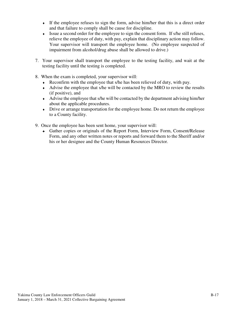- ♦ If the employee refuses to sign the form, advise him/her that this is a direct order and that failure to comply shall be cause for discipline.
- ♦ Issue a second order for the employee to sign the consent form. If s/he still refuses, relieve the employee of duty, with pay, explain that disciplinary action may follow. Your supervisor will transport the employee home. (No employee suspected of impairment from alcohol/drug abuse shall be allowed to drive.)
- 7. Your supervisor shall transport the employee to the testing facility, and wait at the testing facility until the testing is completed.
- 8. When the exam is completed, your supervisor will:
	- ♦ Reconfirm with the employee that s/he has been relieved of duty, with pay.
	- ♦ Advise the employee that s/he will be contacted by the MRO to review the results (if positive), and
	- ♦ Advise the employee that s/he will be contacted by the department advising him/her about the applicable procedures.
	- Drive or arrange transportation for the employee home. Do not return the employee to a County facility.
- 9. Once the employee has been sent home, your supervisor will:
	- ♦ Gather copies or originals of the Report Form, Interview Form, Consent/Release Form, and any other written notes or reports and forward them to the Sheriff and/or his or her designee and the County Human Resources Director.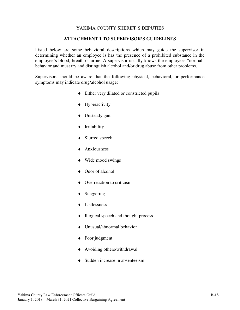#### **ATTACHMENT 1 TO SUPERVISOR'S GUIDELINES**

Listed below are some behavioral descriptions which may guide the supervisor in determining whether an employee is has the presence of a prohibited substance in the employee's blood, breath or urine. A supervisor usually knows the employees "normal" behavior and must try and distinguish alcohol and/or drug abuse from other problems.

Supervisors should be aware that the following physical, behavioral, or performance symptoms may indicate drug/alcohol usage:

- ♦ Either very dilated or constricted pupils
- ♦ Hyperactivity
- ♦ Unsteady gait
- ♦ Irritability
- ◆ Slurred speech
- ♦ Anxiousness
- ♦ Wide mood swings
- ♦ Odor of alcohol
- ♦ Overreaction to criticism
- ♦ Staggering
- ♦ Listlessness
- ♦ Illogical speech and thought process
- ♦ Unusual/abnormal behavior
- ♦ Poor judgment
- ♦ Avoiding others/withdrawal
- ♦ Sudden increase in absenteeism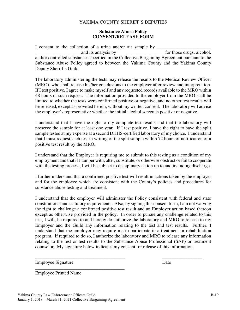#### **Substance Abuse Policy CONSENT/RELEASE FORM**

I consent to the collection of a urine and/or air sample by and its analysis by  $\qquad \qquad$  for those drugs, alcohol, and/or controlled substances specified in the Collective Bargaining Agreement pursuant to the Substance Abuse Policy agreed to between the Yakima County and the Yakima County Deputy Sheriff's Guild.

The laboratory administering the tests may release the results to the Medical Review Officer (MRO), who shall release his/her conclusions to the employer after review and interpretation. If I test positive, I agree to make myself and any requested records available to the MRO within 48 hours of such request. The information provided to the employer from the MRO shall be limited to whether the tests were confirmed positive or negative, and no other test results will be released, except as provided herein, without my written consent. The laboratory will advise the employer's representative whether the initial alcohol screen is positive or negative.

I understand that I have the right to my complete test results and that the laboratory will preserve the sample for at least one year. If I test positive, I have the right to have the split sample tested at my expense at a second DHHS-certified laboratory of my choice. I understand that I must request such test in writing of the split sample within 72 hours of notification of a positive test result by the MRO.

I understand that the Employer is requiring me to submit to this testing as a condition of my employment and that if I tamper with, alter, substitute, or otherwise obstruct or fail to cooperate with the testing process, I will be subject to disciplinary action up to and including discharge.

I further understand that a confirmed positive test will result in actions taken by the employer and for the employee which are consistent with the County's policies and procedures for substance abuse testing and treatment.

I understand that the employer will administer the Policy consistent with federal and state constitutional and statutory requirements. Also, by signing this consent form, I am not waiving the right to challenge a confirmed positive test result and an Employer action based thereon except as otherwise provided in the policy. In order to pursue any challenge related to this test, I will, be required to and hereby do authorize the laboratory and MRO to release to my Employer and the Guild any information relating to the test and test results. Further, I understand that the employer may require me to participate in a treatment or rehabilitation program. If required to do so, I authorize the laboratory and MRO to release any information relating to the test or test results to the Substance Abuse Professional (SAP) or treatment counselor. My signature below indicates my consent for release of this information.

\_\_\_\_\_\_\_\_\_\_\_\_\_\_\_\_\_\_\_\_\_\_\_\_\_\_\_\_\_\_\_\_\_\_\_\_\_\_ \_\_\_\_\_\_\_\_\_\_\_\_\_\_\_\_\_

Employee Signature Date

Employee Printed Name

\_\_\_\_\_\_\_\_\_\_\_\_\_\_\_\_\_\_\_\_\_\_\_\_\_\_\_\_\_\_\_\_\_\_\_\_\_\_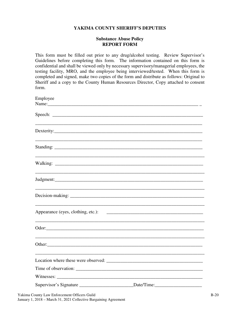#### **Substance Abuse Policy REPORT FORM**

This form must be filled out prior to any drug/alcohol testing. Review Supervisor's Guidelines before completing this form. The information contained on this form is confidential and shall be viewed only by necessary supervisory/managerial employees, the testing facility, MRO, and the employee being interviewed/tested. When this form is completed and signed, make two copies of the form and distribute as follows: Original to Sheriff and a copy to the County Human Resources Director, Copy attached to consent form.

| Employee                                                                          |  |
|-----------------------------------------------------------------------------------|--|
| Name:                                                                             |  |
|                                                                                   |  |
|                                                                                   |  |
|                                                                                   |  |
|                                                                                   |  |
|                                                                                   |  |
|                                                                                   |  |
|                                                                                   |  |
|                                                                                   |  |
|                                                                                   |  |
|                                                                                   |  |
|                                                                                   |  |
|                                                                                   |  |
|                                                                                   |  |
|                                                                                   |  |
|                                                                                   |  |
| Appearance (eyes, clothing, etc.):                                                |  |
|                                                                                   |  |
|                                                                                   |  |
|                                                                                   |  |
|                                                                                   |  |
|                                                                                   |  |
|                                                                                   |  |
|                                                                                   |  |
|                                                                                   |  |
|                                                                                   |  |
|                                                                                   |  |
| Supervisor's Signature ________________________________Date/Time:________________ |  |
|                                                                                   |  |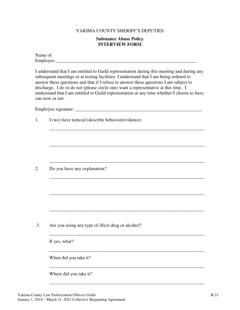#### **Substance Abuse Policy INTERVIEW FORM**

Name of Employee:\_\_\_\_\_\_\_\_\_\_\_\_\_\_\_\_\_\_\_\_\_\_\_\_\_\_\_\_\_\_\_\_\_\_\_\_\_\_\_\_\_\_\_\_\_\_\_\_\_\_\_\_\_\_\_\_\_\_\_\_

I understand that I am entitled to Guild representation during this meeting and during any subsequent meetings or at testing facilities. I understand that I am being ordered to answer these questions and that if I refuse to answer these questions I am subject to discharge. I do or do not (please circle one) want a representative at this time. I understand that I am entitled to Guild representation at any time whether I choose to have one now or not.

\_\_\_\_\_\_\_\_\_\_\_\_\_\_\_\_\_\_\_\_\_\_\_\_\_\_\_\_\_\_\_\_\_\_\_\_\_\_\_\_\_\_\_\_\_\_\_\_\_\_\_\_\_\_\_\_\_\_\_\_\_\_\_\_\_\_

\_\_\_\_\_\_\_\_\_\_\_\_\_\_\_\_\_\_\_\_\_\_\_\_\_\_\_\_\_\_\_\_\_\_\_\_\_\_\_\_\_\_\_\_\_\_\_\_\_\_\_\_\_\_\_\_\_\_\_\_\_\_\_\_\_\_

\_\_\_\_\_\_\_\_\_\_\_\_\_\_\_\_\_\_\_\_\_\_\_\_\_\_\_\_\_\_\_\_\_\_\_\_\_\_\_\_\_\_\_\_\_\_\_\_\_\_\_\_\_\_\_\_\_\_\_\_\_\_\_\_\_\_

\_\_\_\_\_\_\_\_\_\_\_\_\_\_\_\_\_\_\_\_\_\_\_\_\_\_\_\_\_\_\_\_\_\_\_\_\_\_\_\_\_\_\_\_\_\_\_\_\_\_\_\_\_\_\_\_\_\_\_\_\_\_\_\_\_\_

\_\_\_\_\_\_\_\_\_\_\_\_\_\_\_\_\_\_\_\_\_\_\_\_\_\_\_\_\_\_\_\_\_\_\_\_\_\_\_\_\_\_\_\_\_\_\_\_\_\_\_\_\_\_\_\_\_\_\_\_\_\_\_\_\_\_

\_\_\_\_\_\_\_\_\_\_\_\_\_\_\_\_\_\_\_\_\_\_\_\_\_\_\_\_\_\_\_\_\_\_\_\_\_\_\_\_\_\_\_\_\_\_\_\_\_\_\_\_\_\_\_\_\_\_\_\_\_\_\_\_\_\_

\_\_\_\_\_\_\_\_\_\_\_\_\_\_\_\_\_\_\_\_\_\_\_\_\_\_\_\_\_\_\_\_\_\_\_\_\_\_\_\_\_\_\_\_\_\_\_\_\_\_\_\_\_\_\_\_\_\_\_\_\_\_\_\_\_\_

\_\_\_\_\_\_\_\_\_\_\_\_\_\_\_\_\_\_\_\_\_\_\_\_\_\_\_\_\_\_\_\_\_\_\_\_\_\_\_\_\_\_\_\_\_\_\_\_\_\_\_\_\_\_\_\_\_\_\_\_\_\_\_\_\_\_

\_\_\_\_\_\_\_\_\_\_\_\_\_\_\_\_\_\_\_\_\_\_\_\_\_\_\_\_\_\_\_\_\_\_\_\_\_\_\_\_\_\_\_\_\_\_\_\_\_\_\_\_\_\_\_\_\_\_\_\_\_\_\_\_\_\_

\_\_\_\_\_\_\_\_\_\_\_\_\_\_\_\_\_\_\_\_\_\_\_\_\_\_\_\_\_\_\_\_\_\_\_\_\_\_\_\_\_\_\_\_\_\_\_\_\_\_\_\_\_\_\_\_\_\_\_\_\_\_\_\_\_\_

Employee signature: \_\_\_\_\_\_\_\_\_\_\_\_\_\_\_\_\_\_\_\_\_\_\_\_\_\_\_\_\_\_\_\_\_\_\_\_\_\_\_\_\_\_\_\_\_\_\_\_\_\_\_\_\_\_

1. I (we) have noticed (describe behavior/evidence)

2. Do you have any explanation?

.3. Are you using any type of illicit drug or alcohol?

If yes, what?

When did you take it?

Where did you take it?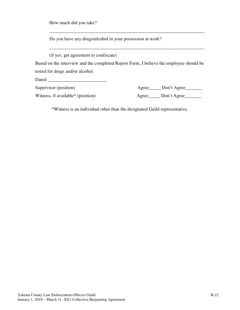How much did you take?

Do you have any drugs/alcohol in your possession at work?

(if yes, get agreement to confiscate)

Based on the interview and the completed Report Form, I believe the employee should be tested for drugs and/or alcohol.

\_\_\_\_\_\_\_\_\_\_\_\_\_\_\_\_\_\_\_\_\_\_\_\_\_\_\_\_\_\_\_\_\_\_\_\_\_\_\_\_\_\_\_\_\_\_\_\_\_\_\_\_\_\_\_\_\_\_\_\_\_\_\_\_\_\_

\_\_\_\_\_\_\_\_\_\_\_\_\_\_\_\_\_\_\_\_\_\_\_\_\_\_\_\_\_\_\_\_\_\_\_\_\_\_\_\_\_\_\_\_\_\_\_\_\_\_\_\_\_\_\_\_\_\_\_\_\_\_\_\_\_\_

Dated \_\_\_\_\_\_\_\_\_\_\_\_\_\_\_\_\_\_\_\_\_\_\_\_\_

| Supervisor (position)             | Agree________ Don't Agree______ |
|-----------------------------------|---------------------------------|
| Witness, if available* (position) | Agree______ Don't Agree___      |

\*Witness is an individual other than the designated Guild representative.